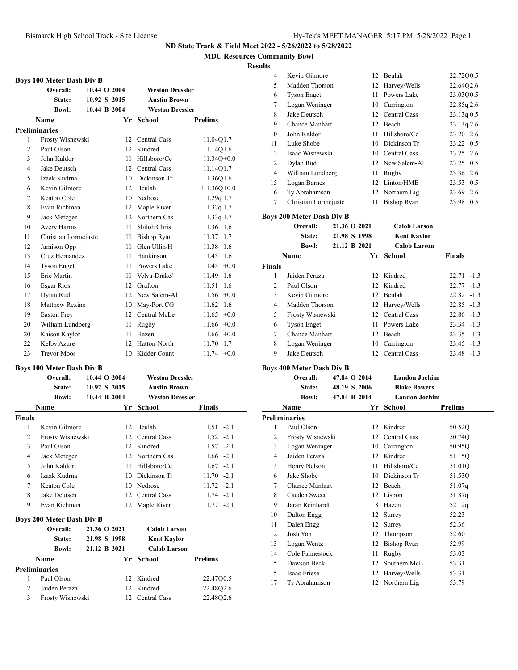**MDU Resources Community Bowl**

## **Results**

|                | <b>Boys 100 Meter Dash Div B</b> |              |                        |                 |
|----------------|----------------------------------|--------------|------------------------|-----------------|
|                | Overall:                         | 10.44 O 2004 | <b>Weston Dressler</b> |                 |
|                | State:                           | 10.92 S 2015 | <b>Austin Brown</b>    |                 |
|                | <b>Bowl:</b>                     | 10.44 B 2004 | <b>Weston Dressler</b> |                 |
|                | <b>Name</b>                      |              | Yr School              | <b>Prelims</b>  |
|                | <b>Preliminaries</b>             |              |                        |                 |
| 1              | Frosty Wisnewski                 |              | 12 Central Cass        | 11.04Q1.7       |
| $\overline{2}$ | Paul Olson                       |              | 12 Kindred             | 11.14Q1.6       |
| 3              | John Kaldor                      | 11           | Hillsboro/Ce           | $11.34O+0.0$    |
| $\overline{4}$ | Jake Deutsch                     |              | 12 Central Cass        | 11.14Q1.7       |
| 5              | Izaak Kudrna                     |              | 10 Dickinson Tr        | 11.3601.6       |
| 6              | Kevin Gilmore                    |              | 12 Beulah              | J11.36Q+0.0     |
| 7              | Keaton Cole                      |              | 10 Nedrose             | 11.29q 1.7      |
| 8              | Evan Richman                     |              | 12 Maple River         | 11.32q 1.7      |
| 9              | Jack Metzger                     |              | 12 Northern Cas        | 11.33q 1.7      |
| 10             | Avery Harms                      |              | 11 Shiloh Chris        | 11.36 1.6       |
| 11             | Christian Lormejuste             |              | 11 Bishop Ryan         | 11.37 1.7       |
| 12             | Jamison Opp                      |              | 11 Glen Ullin/H        | 1.6<br>11.38    |
| 13             | Cruz Hernandez                   |              | 11 Hankinson           | 11.43<br>1.6    |
| 14             | <b>Tyson Enget</b>               |              | 11 Powers Lake         | $+0.0$<br>11.45 |
| 15             | Eric Martin                      |              | 11 Velva-Drake/        | 1.6<br>11.49    |
| 16             | Esgar Rios                       |              | 12 Grafton             | 1.6<br>11.51    |
| 17             | Dylan Rud                        |              | 12 New Salem-Al        | 11.56<br>$+0.0$ |
| 18             | Matthew Rexine                   |              | 10 May-Port CG         | 11.62<br>1.6    |
| 19             | <b>Easton Frey</b>               |              | 12 Central McLe        | 11.65<br>$+0.0$ |
| 20             | William Lundberg                 | 11 -         | Rugby                  | $11.66 + 0.0$   |
| 20             | Kaison Kaylor                    | 11           | Hazen                  | $11.66 + 0.0$   |
| 22             | Kelby Azure                      |              | 12 Hatton-North        | 1.7<br>11.70    |
| 23             | <b>Trevor Moos</b>               | 10           | Kidder Count           | $11.74 +0.0$    |
|                | <b>Boys 100 Meter Dash Div B</b> |              |                        |                 |
|                | Overall:                         | 10.44 O 2004 | <b>Weston Dressler</b> |                 |
|                | State:                           | 10.92 S 2015 | <b>Austin Brown</b>    |                 |
|                | <b>Bowl:</b>                     | 10.44 B 2004 | <b>Weston Dressler</b> |                 |
|                | <b>Name</b>                      |              | Yr School              | Finals          |
| <b>Finals</b>  |                                  |              |                        |                 |
| 1              | Kevin Gilmore                    |              | 12 Beulah              | $11.51 -2.1$    |
| 2              | Frosty Wisnewski                 |              | 12 Central Cass        | $11.52 -2.1$    |
| 3              | Paul Olson                       |              | 12 Kindred             | $11.57 - 2.1$   |
| 4              | Jack Metzger                     |              | 12 Northern Cas        | $11.66 -2.1$    |
| 5              | John Kaldor                      |              | 11 Hillsboro/Ce        | $11.67 -2.1$    |
| 6              | Izaak Kudrna                     |              | 10 Dickinson Tr        | $11.70 -2.1$    |
| 7              | Keaton Cole                      |              | 10 Nedrose             | $11.72 -2.1$    |
| 8              | Jake Deutsch                     |              | 12 Central Cass        | $11.74 -2.1$    |
| 9              | Evan Richman                     |              | 12 Maple River         | $11.77 - 2.1$   |
|                | <b>Boys 200 Meter Dash Div B</b> |              |                        |                 |
|                | Overall:                         | 21.36 O 2021 | <b>Calob Larson</b>    |                 |
|                | <b>State:</b>                    | 21.98 S 1998 | <b>Kent Kaylor</b>     |                 |
|                | <b>Bowl:</b>                     | 21.12 B 2021 | <b>Calob Larson</b>    |                 |
|                | Name                             |              | Yr School              | <b>Prelims</b>  |
|                | <b>Preliminaries</b>             |              |                        |                 |
| 1              | Paul Olson                       |              | 12 Kindred             | 22.47Q0.5       |
| $\overline{c}$ | Jaiden Peraza                    |              | 12 Kindred             | 22.48Q2.6       |
| 3              | Frosty Wisnewski                 |              | 12 Central Cass        | 22.48Q2.6       |

| $\ddot{ }$ |                      |    |                    |              |
|------------|----------------------|----|--------------------|--------------|
| 4          | Kevin Gilmore        |    | 12 Beulah          | 22.72Q0.5    |
| 5          | Madden Thorson       |    | 12 Harvey/Wells    | 22.64Q2.6    |
| 6          | <b>Tyson Enget</b>   | 11 | Powers Lake        | 23.03Q0.5    |
| 7          | Logan Weninger       | 10 | Carrington         | $22.85q$ 2.6 |
| 8          | Jake Deutsch         |    | 12 Central Cass    | $23.13q$ 0.5 |
| 9          | Chance Manhart       | 12 | Beach              | $23.13q$ 2.6 |
| 10         | John Kaldor          | 11 | Hillsboro/Ce       | 23.20 2.6    |
| 11         | Luke Shobe           |    | 10 Dickinson Tr    | 23.22 0.5    |
| 12         | Isaac Wisnewski      |    | 10 Central Cass    | 23.25 2.6    |
| 12         | Dylan Rud            |    | 12 New Salem-Al    | 23.25 0.5    |
| 14         | William Lundberg     | 11 | Rugby              | 23.36 2.6    |
| 15         | Logan Barnes         |    | 12 Linton/HMB      | 23.53 0.5    |
| 16         | Ty Abrahamson        |    | 12 Northern Lig    | 23.69 2.6    |
| 17         | Christian Lormejuste | 11 | <b>Bishop Ryan</b> | 23.98 0.5    |

## **Boys 200 Meter Dash Div B**

|               | $D_{0}$ , $D_{0}$ = $D_{0}$ . There is $D_{0}$ is $D_{1}$ |              |                     |               |  |  |  |
|---------------|-----------------------------------------------------------|--------------|---------------------|---------------|--|--|--|
|               | Overall:                                                  | 21.36 O 2021 | <b>Calob Larson</b> |               |  |  |  |
|               | State:                                                    | 21.98 S 1998 | Kent Kaylor         |               |  |  |  |
|               | <b>Bowl:</b>                                              | 21.12 B 2021 | <b>Calob Larson</b> |               |  |  |  |
|               | Name                                                      | Yr           | School              | <b>Finals</b> |  |  |  |
| <b>Finals</b> |                                                           |              |                     |               |  |  |  |
| 1             | Jaiden Peraza                                             |              | 12 Kindred          | $22.71 - 1.3$ |  |  |  |
| 2             | Paul Olson                                                |              | 12 Kindred          | $22.77 - 1.3$ |  |  |  |
| 3             | Kevin Gilmore                                             |              | 12 Beulah           | $22.82 -1.3$  |  |  |  |
| 4             | Madden Thorson                                            |              | 12 Harvey/Wells     | $22.85 - 1.3$ |  |  |  |
| 5             | Frosty Wisnewski                                          |              | 12 Central Cass     | $22.86 - 1.3$ |  |  |  |
| 6             | <b>Tyson Enget</b>                                        |              | 11 Powers Lake      | $23.34 -1.3$  |  |  |  |
| 7             | Chance Manhart                                            |              | 12 Beach            | $23.35 -1.3$  |  |  |  |
| 8             | Logan Weninger                                            |              | 10 Carrington       | $23.45 -1.3$  |  |  |  |
| 9             | Jake Deutsch                                              |              | 12 Central Cass     | $23.48 - 1.3$ |  |  |  |
|               |                                                           |              |                     |               |  |  |  |

## **Boys 400 Meter Dash Div B**

|                      |  | <b>Landon Jochim</b>                                                                                        |                                                          |                                                                                         |
|----------------------|--|-------------------------------------------------------------------------------------------------------------|----------------------------------------------------------|-----------------------------------------------------------------------------------------|
| State:               |  |                                                                                                             |                                                          |                                                                                         |
| <b>Bowl:</b>         |  |                                                                                                             |                                                          |                                                                                         |
| Name                 |  |                                                                                                             | School                                                   | <b>Prelims</b>                                                                          |
| <b>Preliminaries</b> |  |                                                                                                             |                                                          |                                                                                         |
| Paul Olson           |  |                                                                                                             | Kindred                                                  | 50.52Q                                                                                  |
|                      |  | 12                                                                                                          | Central Cass                                             | 50.74Q                                                                                  |
|                      |  | 10                                                                                                          | Carrington                                               | 50.95Q                                                                                  |
| Jaiden Peraza        |  | 12                                                                                                          | Kindred                                                  | 51.15Q                                                                                  |
| Henry Nelson         |  | 11                                                                                                          | Hillsboro/Ce                                             | 51.01Q                                                                                  |
| Jake Shobe           |  | 10                                                                                                          | Dickinson Tr                                             | 51.53Q                                                                                  |
|                      |  | 12                                                                                                          | Beach                                                    | 51.07q                                                                                  |
| Caeden Sweet         |  | 12                                                                                                          | Lisbon                                                   | 51.87q                                                                                  |
|                      |  | 8                                                                                                           | Hazen                                                    | 52.12q                                                                                  |
| Dalton Engg          |  | 12                                                                                                          | Surrey                                                   | 52.23                                                                                   |
| Dalen Engg           |  | 12                                                                                                          | Surrey                                                   | 52.36                                                                                   |
| Josh Yon             |  | 12                                                                                                          | Thompson                                                 | 52.60                                                                                   |
| Logan Wentz          |  | 12                                                                                                          | <b>Bishop Ryan</b>                                       | 52.99                                                                                   |
|                      |  | 11                                                                                                          | Rugby                                                    | 53.03                                                                                   |
| Dawson Beck          |  | 12                                                                                                          | Southern McL                                             | 53.31                                                                                   |
| Isaac Friese         |  | 12                                                                                                          | Harvey/Wells                                             | 53.31                                                                                   |
|                      |  |                                                                                                             |                                                          | 53.79                                                                                   |
|                      |  | Frosty Wisnewski<br>Logan Weninger<br>Chance Manhart<br>Jaran Reinhardt<br>Cole Fahnestock<br>Ty Abrahamson | Overall:<br>47.84 O 2014<br>48.19 S 2006<br>47.84 B 2014 | <b>Blake Bowers</b><br><b>Landon Jochim</b><br>Yr<br>12 <sup>2</sup><br>12 Northern Lig |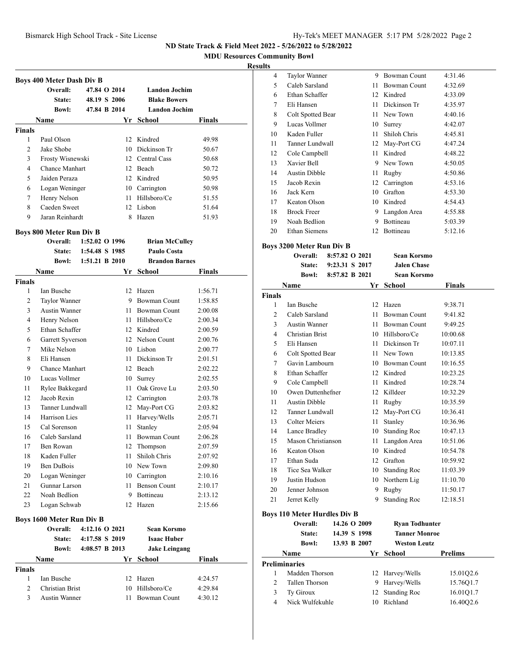**MDU Resources Community Bowl**

#### **Results**

| <b>Boys 400 Meter Dash Div B</b> |                                  |                |              |                       |               |
|----------------------------------|----------------------------------|----------------|--------------|-----------------------|---------------|
|                                  | Overall:                         |                | 47.84 O 2014 | <b>Landon Jochim</b>  |               |
|                                  | State:                           |                | 48.19 S 2006 | <b>Blake Bowers</b>   |               |
|                                  | <b>Bowl:</b>                     |                | 47.84 B 2014 | <b>Landon Jochim</b>  |               |
|                                  | Name                             |                |              | Yr School             | Finals        |
| <b>Finals</b>                    |                                  |                |              |                       |               |
| 1                                | Paul Olson                       |                |              | 12 Kindred            | 49.98         |
| 2                                | Jake Shobe                       |                |              | 10 Dickinson Tr       | 50.67         |
| 3                                | Frosty Wisnewski                 |                |              | 12 Central Cass       | 50.68         |
| $\overline{4}$                   | <b>Chance Manhart</b>            |                |              | 12 Beach              | 50.72         |
| 5                                | Jaiden Peraza                    |                |              | 12 Kindred            | 50.95         |
| 6                                | Logan Weninger                   |                |              | 10 Carrington         | 50.98         |
| 7                                | Henry Nelson                     |                | 11 -         | Hillsboro/Ce          | 51.55         |
| 8                                | Caeden Sweet                     |                |              | 12 Lisbon             | 51.64         |
| 9                                | Jaran Reinhardt                  |                |              | 8 Hazen               | 51.93         |
| <b>Boys 800 Meter Run Div B</b>  |                                  |                |              |                       |               |
|                                  | Overall:                         | 1:52.02 O 1996 |              | <b>Brian McCulley</b> |               |
|                                  | State:                           | 1:54.48 S 1985 |              | Paulo Costa           |               |
|                                  | <b>Bowl:</b>                     | 1:51.21 B 2010 |              | <b>Brandon Barnes</b> |               |
|                                  | Name                             |                |              | Yr School             | Finals        |
| <b>Finals</b>                    |                                  |                |              |                       |               |
| 1                                | Ian Busche                       |                |              | 12 Hazen              | 1:56.71       |
| 2                                | Taylor Wanner                    |                |              | 9 Bowman Count        | 1:58.85       |
| 3                                | <b>Austin Wanner</b>             |                |              | 11 Bowman Count       | 2:00.08       |
| 4                                | Henry Nelson                     |                |              | 11 Hillsboro/Ce       | 2:00.34       |
| 5                                | Ethan Schaffer                   |                |              | 12 Kindred            | 2:00.59       |
| 6                                | Garrett Syverson                 |                |              | 12 Nelson Count       | 2:00.76       |
| 7                                | Mike Nelson                      |                |              | 10 Lisbon             | 2:00.77       |
| 8                                | Eli Hansen                       |                |              | 11 Dickinson Tr       | 2:01.51       |
| 9                                | <b>Chance Manhart</b>            |                |              | 12 Beach              | 2:02.22       |
| 10                               | Lucas Vollmer                    |                |              | 10 Surrey             | 2:02.55       |
| 11                               | Rylee Bakkegard                  |                |              | 11 Oak Grove Lu       | 2:03.50       |
| 12                               | Jacob Rexin                      |                |              | 12 Carrington         | 2:03.78       |
| 13                               | Tanner Lundwall                  |                |              | 12 May-Port CG        | 2:03.82       |
| 14                               | Harrison Lies                    |                |              | 11 Harvey/Wells       | 2:05.71       |
| 15                               | Cal Sorenson                     |                | 11           | Stanley               | 2:05.94       |
| 16                               | Caleb Sarsland                   |                | 11 -         | <b>Bowman Count</b>   | 2:06.28       |
| 17                               | Ben Rowan                        |                |              | 12 Thompson           | 2:07.59       |
| 18                               | Kaden Fuller                     |                | 11           | Shiloh Chris          | 2:07.92       |
| 19                               | Ben DuBois                       |                |              | 10 New Town           | 2:09.80       |
| 20                               | Logan Weninger                   |                |              | 10 Carrington         | 2:10.16       |
| 21                               | Gunnar Larson                    |                | 11 -         | <b>Benson Count</b>   | 2:10.17       |
| 22                               | Noah Bedlion                     |                |              | 9 Bottineau           | 2:13.12       |
| 23                               | Logan Schwab                     |                | 12           | Hazen                 | 2:15.66       |
|                                  | <b>Boys 1600 Meter Run Div B</b> |                |              |                       |               |
|                                  | Overall:                         | 4:12.16 O 2021 |              | Sean Korsmo           |               |
|                                  | <b>State:</b>                    | 4:17.58 S 2019 |              | <b>Isaac Huber</b>    |               |
|                                  | <b>Bowl:</b>                     | 4:08.57 B 2013 |              | <b>Jake Leingang</b>  |               |
|                                  | Name                             |                |              | Yr School             | <b>Finals</b> |
| Finals                           |                                  |                |              |                       |               |
| 1                                | Ian Busche                       |                | 12           | Hazen                 | 4:24.57       |
| 2                                | Christian Brist                  |                | 10           | Hillsboro/Ce          | 4:29.84       |
| 3                                | Austin Wanner                    |                | 11           | Bowman Count          | 4:30.12       |
|                                  |                                  |                |              |                       |               |
|                                  |                                  |                |              |                       |               |

| 4              | Taylor Wanner                                   |                | 9                            | <b>Bowman Count</b>          | 4:31.46        |
|----------------|-------------------------------------------------|----------------|------------------------------|------------------------------|----------------|
| 5              | Caleb Sarsland                                  |                | 11 -                         | <b>Bowman Count</b>          | 4:32.69        |
| 6              | Ethan Schaffer                                  |                |                              | 12 Kindred                   | 4:33.09        |
| 7              | Eli Hansen                                      |                |                              | 11 Dickinson Tr              | 4:35.97        |
| 8              | Colt Spotted Bear                               |                |                              | 11 New Town                  | 4:40.16        |
| 9              | Lucas Vollmer                                   |                |                              | 10 Surrey                    | 4:42.07        |
| 10             | Kaden Fuller                                    |                | 11 -                         | Shiloh Chris                 | 4:45.81        |
| 11             | Tanner Lundwall                                 |                |                              | 12 May-Port CG               | 4:47.24        |
| 12             | Cole Campbell                                   |                |                              | 11 Kindred                   | 4:48.22        |
| 13             | Xavier Bell                                     |                |                              | 9 New Town                   | 4:50.05        |
| 14             | <b>Austin Dibble</b>                            |                | 11 -                         | Rugby                        | 4:50.86        |
| 15             | Jacob Rexin                                     |                |                              | 12 Carrington                | 4:53.16        |
| 16             | Jack Kern                                       |                |                              | 10 Grafton                   | 4:53.30        |
| 17             | Keaton Olson                                    |                |                              | 10 Kindred                   | 4:54.43        |
| 18             | <b>Brock Freer</b>                              |                |                              | 9 Langdon Area               | 4:55.88        |
| 19             | Noah Bedlion                                    |                |                              | 9 Bottineau                  | 5:03.39        |
| 20             | <b>Ethan Siemens</b>                            |                | 12 <sup>12</sup>             | Bottineau                    | 5:12.16        |
|                | Boys 3200 Meter Run Div B                       |                |                              |                              |                |
|                | Overall:                                        | 8:57.82 O 2021 |                              | Sean Korsmo                  |                |
|                | State:                                          | 9:23.31 S 2017 |                              | <b>Jalen Chase</b>           |                |
|                | <b>Bowl:</b>                                    | 8:57.82 B 2021 |                              | <b>Sean Korsmo</b>           |                |
|                | Name                                            |                |                              | Yr School                    | <b>Finals</b>  |
| <b>Finals</b>  |                                                 |                |                              |                              |                |
| 1              | Ian Busche                                      |                |                              | 12 Hazen                     | 9:38.71        |
| $\overline{2}$ | Caleb Sarsland                                  |                | 11                           | <b>Bowman Count</b>          | 9:41.82        |
| 3              | <b>Austin Wanner</b>                            |                |                              | 11 Bowman Count              | 9:49.25        |
| 4              | Christian Brist                                 |                |                              | 10 Hillsboro/Ce              | 10:00.68       |
| 5              | Eli Hansen                                      |                |                              | 11 Dickinson Tr              | 10:07.11       |
| 6              | Colt Spotted Bear                               |                |                              | 11 New Town                  | 10:13.85       |
| 7              | Gavin Lambourn                                  |                |                              | 10 Bowman Count              | 10:16.55       |
| 8              | Ethan Schaffer                                  |                |                              | 12 Kindred                   | 10:23.25       |
| 9              | Cole Campbell                                   |                |                              | 11 Kindred                   | 10:28.74       |
| 10             | Owen Duttenhefner                               |                |                              | 12 Killdeer                  | 10:32.29       |
| 11             | <b>Austin Dibble</b>                            |                |                              | 11 Rugby                     | 10:35.59       |
| 12             | Tanner Lundwall                                 |                |                              | 12 May-Port CG               | 10:36.41       |
| 13             | <b>Colter Meiers</b>                            |                | 11                           | Stanley                      | 10:36.96       |
| 14             | Lance Bradley                                   |                | 10                           | <b>Standing Roc</b>          | 10:47.13       |
| 15             | Mason Christianson                              |                | 11                           | Langdon Area                 | 10:51.06       |
| 16             | Keaton Olson                                    |                |                              | 10 Kindred                   | 10:54.78       |
| 17             | Ethan Suda                                      |                | 12                           | Grafton                      | 10:59.92       |
| 18             | Tice Sea Walker                                 |                | 10                           | <b>Standing Roc</b>          | 11:03.39       |
| 19             | Justin Hudson                                   |                | 10                           | Northern Lig                 | 11:10.70       |
| 20             | Jenner Johnson                                  |                | 9                            | Rugby                        | 11:50.17       |
| 21             | Jerret Kelly                                    |                | 9                            | <b>Standing Roc</b>          | 12:18.51       |
|                |                                                 |                |                              |                              |                |
|                | <b>Boys 110 Meter Hurdles Div B</b><br>Overall: |                | 14.26 O 2009                 | <b>Ryan Todhunter</b>        |                |
|                |                                                 |                |                              | <b>Tanner Monroe</b>         |                |
|                | State:<br><b>Bowl:</b>                          |                | 14.39 S 1998<br>13.93 B 2007 | <b>Weston Leutz</b>          |                |
|                |                                                 |                |                              |                              |                |
|                | Name                                            |                | Yr                           | School                       | <b>Prelims</b> |
| $\mathbf{1}$   | <b>Preliminaries</b>                            |                |                              |                              |                |
| 2              | Madden Thorson                                  |                | 12<br>9                      | Harvey/Wells<br>Harvey/Wells | 15.01Q2.6      |
|                | Tallen Thorson                                  |                |                              |                              | 15.76Q1.7      |

 Ty Giroux 12 Standing Roc 16.01Q1.7 Nick Wulfekuhle 10 Richland 16.40Q2.6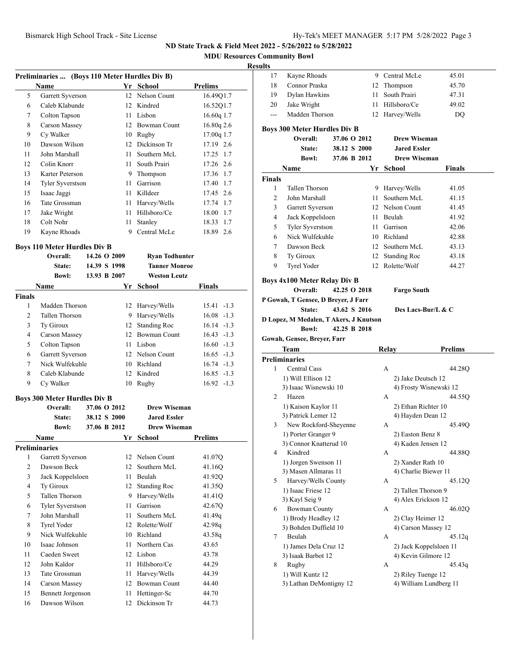**MDU Resources Community Bowl**

#### **Result**

|                                     | Preliminaries  (Boys 110 Meter Hurdles Div B) |  |                 |                       |                |  |
|-------------------------------------|-----------------------------------------------|--|-----------------|-----------------------|----------------|--|
|                                     | <b>Name</b>                                   |  |                 | Yr School             | <b>Prelims</b> |  |
| 5                                   | Garrett Syverson                              |  | 12              | Nelson Count          | 16.49Q1.7      |  |
| 6                                   | Caleb Klabunde                                |  | 12              | Kindred               | 16.52Q1.7      |  |
| 7                                   | Colton Tapson                                 |  | 11              | Lisbon                | 16.60q 1.7     |  |
| 8                                   | Carson Massey                                 |  |                 | 12 Bowman Count       | 16.80q 2.6     |  |
| 9                                   | Cy Walker                                     |  |                 | 10 Rugby              | 17.00q 1.7     |  |
| 10                                  | Dawson Wilson                                 |  |                 | 12 Dickinson Tr       | 17.19 2.6      |  |
| 11                                  | John Marshall                                 |  | 11.             | Southern McL          | 17.25 1.7      |  |
| 12                                  | Colin Knorr                                   |  | 11              | South Prairi          | 17.26 2.6      |  |
| 13                                  | Karter Peterson                               |  | 9               | Thompson              | 17.36 1.7      |  |
| 14                                  | <b>Tyler Syverstson</b>                       |  | 11              | Garrison              | 17.40 1.7      |  |
| 15                                  | Isaac Jaggi                                   |  |                 | 11 Killdeer           | 17.45 2.6      |  |
| 16                                  | Tate Grossman                                 |  | 11              | Harvey/Wells          | 17.74 1.7      |  |
| 17                                  | Jake Wright                                   |  | 11              | Hillsboro/Ce          | 18.00 1.7      |  |
| 18                                  | Colt Nohr                                     |  | 11              | Stanley               | 18.33<br>1.7   |  |
| 19                                  | Kayne Rhoads                                  |  | 9               | Central McLe          | 18.89 2.6      |  |
| <b>Boys 110 Meter Hurdles Div B</b> |                                               |  |                 |                       |                |  |
|                                     | Overall:                                      |  | 14.26 O 2009    | <b>Ryan Todhunter</b> |                |  |
|                                     | State:                                        |  | 14.39 S 1998    | <b>Tanner Monroe</b>  |                |  |
|                                     | <b>Bowl:</b>                                  |  | 13.93 B 2007    | <b>Weston Leutz</b>   |                |  |
|                                     | <b>Name</b>                                   |  | Yr              | <b>School</b>         | <b>Finals</b>  |  |
| <b>Finals</b>                       |                                               |  |                 |                       |                |  |
| 1                                   | Madden Thorson                                |  | 12              | Harvey/Wells          | $15.41 - 1.3$  |  |
| $\overline{c}$                      | <b>Tallen Thorson</b>                         |  | 9               | Harvey/Wells          | $16.08 - 1.3$  |  |
| 3                                   | Ty Giroux                                     |  | 12              | <b>Standing Roc</b>   | $16.14 - 1.3$  |  |
| 4                                   | Carson Massey                                 |  | 12 <sup>2</sup> | <b>Bowman Count</b>   | $16.43 - 1.3$  |  |
| 5                                   | Colton Tapson                                 |  | 11              | Lisbon                | $16.60 -1.3$   |  |
| 6                                   | Garrett Syverson                              |  |                 | 12 Nelson Count       | $16.65 - 1.3$  |  |
| 7                                   | Nick Wulfekuhle                               |  |                 | 10 Richland           | $16.74 - 1.3$  |  |
| 8                                   | Caleb Klabunde                                |  | 12              | Kindred               | $16.85 - 1.3$  |  |
| 9                                   | Cy Walker                                     |  | 10              | Rugby                 | $16.92 - 1.3$  |  |
|                                     | <b>Boys 300 Meter Hurdles Div B</b>           |  |                 |                       |                |  |

**Overall: 37.06 O 2012 Drew Wiseman State: 38.12 S 2000 Jared Essler Bowl: 37.06 B 2012 Drew Wiseman Name Yr School Prelims Preliminaries** 1 Garrett Syverson 12 Nelson Count 41.07Q 2 Dawson Beck 12 Southern McL 41.16Q 3 Jack Koppelsloen 11 Beulah 41.92Q 4 Ty Giroux 12 Standing Roc 41.35Q 5 Tallen Thorson 9 Harvey/Wells 41.41Q 6 Tyler Syverstson 11 Garrison 42.67Q 7 John Marshall 11 Southern McL 41.49q 8 Tyrel Yoder 12 Rolette/Wolf 42.98q 9 Nick Wulfekuhle 10 Richland 43.58q 10 Isaac Johnson 11 Northern Cas 43.65 11 Caeden Sweet 12 Lisbon 43.78 12 John Kaldor 11 Hillsboro/Ce 44.29 13 Tate Grossman 11 Harvey/Wells 44.39 14 Carson Massey 12 Bowman Count 44.40 15 Bennett Jorgenson 11 Hettinger-Sc 44.70 16 Dawson Wilson 12 Dickinson Tr 44.73

| ults           |                                              |              |    |                                          |                        |
|----------------|----------------------------------------------|--------------|----|------------------------------------------|------------------------|
| 17             | Kayne Rhoads                                 |              |    | 9 Central McLe                           | 45.01                  |
| 18             | Connor Praska                                |              |    | 12 Thompson                              | 45.70                  |
| 19             | Dylan Hawkins                                |              |    | 11 South Prairi                          | 47.31                  |
| 20             | Jake Wright                                  |              |    | 11 Hillsboro/Ce                          | 49.02                  |
| $---$          | Madden Thorson                               |              |    | 12 Harvey/Wells                          | DO                     |
|                | <b>Boys 300 Meter Hurdles Div B</b>          |              |    |                                          |                        |
|                | Overall:                                     | 37.06 O 2012 |    | <b>Drew Wiseman</b>                      |                        |
|                | State:                                       | 38.12 S 2000 |    | <b>Jared Essler</b>                      |                        |
|                | <b>Bowl:</b>                                 | 37.06 B 2012 |    | <b>Drew Wiseman</b>                      |                        |
|                | Name                                         |              | Yr | School                                   | Finals                 |
| <b>Finals</b>  |                                              |              |    |                                          |                        |
| 1              | Tallen Thorson                               |              |    | 9 Harvey/Wells                           | 41.05                  |
| 2              | John Marshall                                |              |    | 11 Southern McL                          | 41.15                  |
| 3              | Garrett Syverson                             |              |    | 12 Nelson Count                          | 41.45                  |
| 4              | Jack Koppelsloen                             |              |    | 11 Beulah                                | 41.92                  |
| 5              | Tyler Syverstson                             |              |    | 11 Garrison                              | 42.06                  |
| 6              | Nick Wulfekuhle                              |              |    | 10 Richland                              | 42.88                  |
| 7              | Dawson Beck                                  |              |    | 12 Southern McL                          | 43.13                  |
| 8              | Ty Giroux                                    |              |    | 12 Standing Roc                          | 43.18                  |
| 9              | <b>Tyrel Yoder</b>                           |              |    | 12 Rolette/Wolf                          | 44.27                  |
|                |                                              |              |    |                                          |                        |
|                | <b>Boys 4x100 Meter Relay Div B</b>          |              |    |                                          |                        |
|                | Overall:                                     | 42.25 O 2018 |    | <b>Fargo South</b>                       |                        |
|                | P Gowah, T Gensee, D Breyer, J Farr          |              |    |                                          |                        |
|                | State:                                       | 43.62 S 2016 |    | Des Lacs-Bur/L & C                       |                        |
|                | D Lopez, M Medalen, T Akers, J Knutson       |              |    |                                          |                        |
|                | <b>Bowl:</b>                                 | 42.25 B 2018 |    |                                          |                        |
|                | Gowah, Gensee, Breyer, Farr                  |              |    |                                          |                        |
|                | Team                                         |              |    | Relay                                    | <b>Prelims</b>         |
|                | <b>Preliminaries</b>                         |              |    |                                          |                        |
| 1              | <b>Central Cass</b>                          |              |    | A                                        | 44.28Q                 |
|                | 1) Will Ellison 12                           |              |    | 2) Jake Deutsch 12                       |                        |
| $\overline{2}$ | 3) Isaac Wisnewski 10<br>Hazen               |              |    | А                                        | 4) Frosty Wisnewski 12 |
|                |                                              |              |    |                                          | 44.55Q                 |
|                | 1) Kaison Kaylor 11<br>3) Patrick Lemer 12   |              |    | 2) Ethan Richter 10<br>4) Hayden Dean 12 |                        |
| 3              | New Rockford-Sheyenne                        |              |    | A                                        | 45.49Q                 |
|                | 1) Porter Granger 9                          |              |    | 2) Easton Benz 8                         |                        |
|                | 3) Connor Knatterud 10                       |              |    | 4) Kaden Jensen 12                       |                        |
| 4              | Kindred                                      |              |    | А                                        | 44.88Q                 |
|                | 1) Jorgen Swenson 11                         |              |    |                                          |                        |
|                |                                              |              |    |                                          |                        |
| 5              |                                              |              |    | 2) Xander Rath 10                        |                        |
|                | 3) Masen Allmaras 11                         |              |    | 4) Charlie Biewer 11                     |                        |
|                | Harvey/Wells County                          |              |    | А                                        | 45.12Q                 |
|                | 1) Isaac Friese 12                           |              |    | 2) Tallen Thorson 9                      |                        |
| 6              | 3) Kayl Seig 9                               |              |    | 4) Alex Erickson 12<br>А                 |                        |
|                | <b>Bowman County</b>                         |              |    |                                          | 46.02Q                 |
|                | 1) Brody Headley 12<br>3) Bohden Duffield 10 |              |    | 2) Clay Heimer 12                        |                        |
| 7              | Beulah                                       |              |    | 4) Carson Massey 12<br>А                 | 45.12q                 |
|                | 1) James Dela Cruz 12                        |              |    |                                          | 2) Jack Koppelsloen 11 |
|                | 3) Isaak Barbot 12                           |              |    | 4) Kevin Gilmore 12                      |                        |
| 8              | Rugby                                        |              |    | А                                        | 45.43q                 |
|                | 1) Will Kuntz 12                             |              |    | 2) Riley Tuenge 12                       |                        |
|                | 3) Lathan DeMontigny 12                      |              |    |                                          | 4) William Lundberg 11 |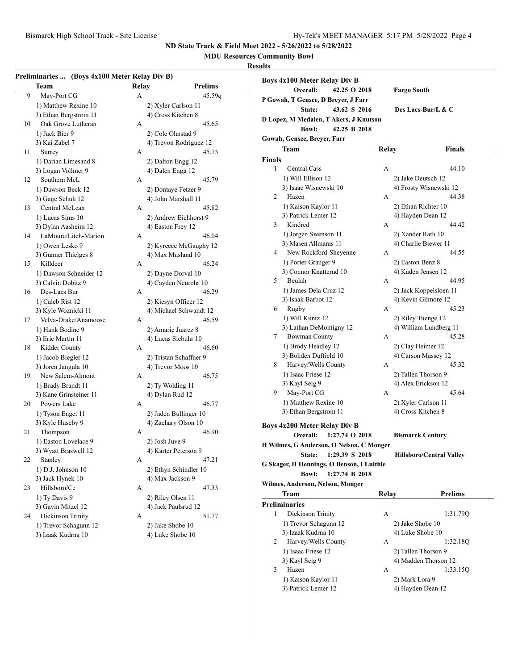# **MDU Resources Community Bowl**

## **Results**

|    | <b>Team</b>            | Relay              | <b>Prelims</b>         | <b>Boys 4x100 Meter Relay Div B</b><br>Overall:<br>42.25 O 2018 |              | <b>Fargo South</b>       |
|----|------------------------|--------------------|------------------------|-----------------------------------------------------------------|--------------|--------------------------|
| 9  | May-Port CG            | A                  | 45.59q                 |                                                                 |              |                          |
|    | 1) Matthew Rexine 10   |                    | 2) Xyler Carlson 11    | P Gowah, T Gensee, D Breyer, J Farr                             |              |                          |
|    | 3) Ethan Bergstrom 11  | 4) Cross Kitchen 8 |                        | State:<br>43.62 S 2016                                          |              | Des Lacs-Bur/L & C       |
| 10 | Oak Grove Lutheran     | A                  | 45.65                  | D Lopez, M Medalen, T Akers, J Knutson                          |              |                          |
|    | 1) Jack Bier 9         | 2) Cole Ohnstad 9  |                        | <b>Bowl:</b><br>42.25 B 2018                                    |              |                          |
|    | 3) Kai Zabel 7         |                    | 4) Trevon Rodriguez 12 | Gowah, Gensee, Breyer, Farr                                     |              |                          |
| 11 | Surrey                 | A                  | 45.73                  | <b>Team</b>                                                     | Relay        | <b>Finals</b>            |
|    | 1) Darian Limesand 8   | 2) Dalton Engg 12  |                        | <b>Finals</b>                                                   |              |                          |
|    | 3) Logan Vollmer 9     | 4) Dalen Engg 12   |                        | <b>Central Cass</b><br>1                                        | A            | 44.10                    |
| 12 | Southern McL           | A                  | 45.79                  | 1) Will Ellison 12                                              |              | 2) Jake Deutsch 12       |
|    | 1) Dawson Beck 12      |                    | 2) Dontaye Fetzer 9    | 3) Isaac Wisnewski 10                                           |              | 4) Frosty Wisnewski 12   |
|    | 3) Gage Schuh 12       |                    | 4) John Marshall 11    | Hazen<br>2                                                      | А            | 44.38                    |
| 13 | Central McLean         | A                  | 45.82                  | 1) Kaison Kaylor 11                                             |              | 2) Ethan Richter 10      |
|    | 1) Lucas Sims 10       |                    | 2) Andrew Eichhorst 9  | 3) Patrick Lemer 12                                             |              | 4) Hayden Dean 12        |
|    | 3) Dylan Aasheim 12    | 4) Easton Frey 12  |                        | Kindred<br>3                                                    | A            | 44.42                    |
| 14 | LaMoure/Litch-Marion   | А                  | 46.04                  | 1) Jorgen Swenson 11                                            |              | 2) Xander Rath 10        |
|    | 1) Owen Lesko 9        |                    | 2) Kyreece McGaughy 12 | 3) Masen Allmaras 11                                            |              | 4) Charlie Biewer 11     |
|    | 3) Gunner Thielges 8   |                    | 4) Max Musland 10      | New Rockford-Sheyenne<br>4                                      | A            | 44.55                    |
| 15 | Killdeer               | A                  | 46.24                  | 1) Porter Granger 9                                             |              | 2) Easton Benz 8         |
|    | 1) Dawson Schneider 12 |                    | 2) Dayne Dorval 10     | 3) Connor Knatterud 10                                          |              | 4) Kaden Jensen 12       |
|    | 3) Calvin Dobitz 9     |                    | 4) Cayden Neurohr 10   | Beulah<br>5                                                     | A            | 44.95                    |
| 16 | Des-Lacs Bur           | A                  | 46.29                  | 1) James Dela Cruz 12                                           |              | 2) Jack Koppelsloen 11   |
|    | 1) Caleb Rist 12       |                    | 2) Kiesyn Officer 12   | 3) Isaak Barbot 12                                              |              | 4) Kevin Gilmore 12      |
|    | 3) Kyle Woznicki 11    |                    | 4) Michael Schwandt 12 | Rugby<br>6                                                      | А            | 45.23                    |
|    | Velva-Drake/Anamoose   |                    |                        | 1) Will Kuntz 12                                                |              | 2) Riley Tuenge 12       |
| 17 |                        | A                  | 46.59                  | 3) Lathan DeMontigny 12                                         |              | 4) William Lundberg 11   |
|    | 1) Hank Bodine 9       | 2) Amarie Juarez 8 |                        | <b>Bowman County</b><br>7                                       | A            | 45.28                    |
|    | 3) Eric Martin 11      |                    | 4) Lucas Siebuhr 10    | 1) Brody Headley 12                                             |              | 2) Clay Heimer 12        |
| 18 | Kidder County          | А                  | 46.60                  | 3) Bohden Duffield 10                                           |              | 4) Carson Massey 12      |
|    | 1) Jacob Biegler 12    |                    | 2) Tristan Schaffner 9 | Harvey/Wells County<br>8                                        | A            | 45.32                    |
|    | 3) Joren Jangula 10    | 4) Trevor Moos 10  |                        | 1) Isaac Friese 12                                              |              | 2) Tallen Thorson 9      |
| 19 | New Salem-Almont       | A                  | 46.75                  | 3) Kayl Seig 9                                                  |              | 4) Alex Erickson 12      |
|    | 1) Brady Brandt 11     | 2) Ty Wolding 11   |                        | May-Port CG<br>9                                                | A            | 45.64                    |
|    | 3) Kane Grinsteiner 11 | 4) Dylan Rud 12    |                        | 1) Matthew Rexine 10                                            |              |                          |
| 20 | Powers Lake            | А                  | 46.77                  |                                                                 |              | 2) Xyler Carlson 11      |
|    | 1) Tyson Enget 11      |                    | 2) Jaden Bullinger 10  | 3) Ethan Bergstrom 11                                           |              | 4) Cross Kitchen 8       |
|    | 3) Kyle Huseby 9       |                    | 4) Zachary Olson 10    | <b>Boys 4x200 Meter Relay Div B</b>                             |              |                          |
| 21 | Thompson               | A                  | 46.90                  | Overall:<br>1:27.74 O 2018                                      |              | <b>Bismarck Century</b>  |
|    | 1) Easton Lovelace 9   | 2) Josh Juve 9     |                        | H Wilmes, G Anderson, O Nelson, C Monger                        |              |                          |
|    | 3) Wyatt Braswell 12   |                    | 4) Karter Peterson 9   | State: 1:29.39 S 2018                                           |              | Hillsboro/Central Valley |
| 22 | Stanley                | A                  | 47.21                  | G Skager, H Hennings, O Benson, I Luithle                       |              |                          |
|    | 1) D.J. Johnson 10     |                    | 2) Ethyn Schindler 10  | Bowl: 1:27.74 B 2018                                            |              |                          |
|    | 3) Jack Hynek 10       | 4) Max Jackson 9   |                        | Wilmes, Anderson, Nelson, Monger                                |              |                          |
| 23 | Hillsboro/Ce           | A                  | 47.33                  |                                                                 |              |                          |
|    | 1) Ty Davis 9          | 2) Riley Olsen 11  |                        | <b>Team</b>                                                     | <b>Relay</b> | <b>Prelims</b>           |
|    | 3) Gavin Mitzel 12     |                    | 4) Jack Paulsrud 12    | <b>Preliminaries</b>                                            |              |                          |
| 24 | Dickinson Trinity      | A                  | 51.77                  | Dickinson Trinity<br>$\mathbf{1}$                               | A            | 1:31.79Q                 |
|    | 1) Trevor Schagunn 12  | 2) Jake Shobe 10   |                        | 1) Trevor Schagunn 12                                           |              | 2) Jake Shobe 10         |
|    | 3) Izaak Kudrna 10     | 4) Luke Shobe 10   |                        | 3) Izaak Kudrna 10                                              |              | 4) Luke Shobe 10         |
|    |                        |                    |                        | Harvey/Wells County<br>2                                        | А            | 1:32.18Q                 |
|    |                        |                    |                        | 1) Isaac Friese 12                                              |              | 2) Tallen Thorson 9      |

1) Kaison Kaylor 11 2) Mark Lora 9<br>3) Patrick Lemer 12 4) Hayden Dean 12

3) Kayl Seig 9 4) Madden Thorson 12 3 Hazen A 1:33.15Q

3) Patrick Lemer 12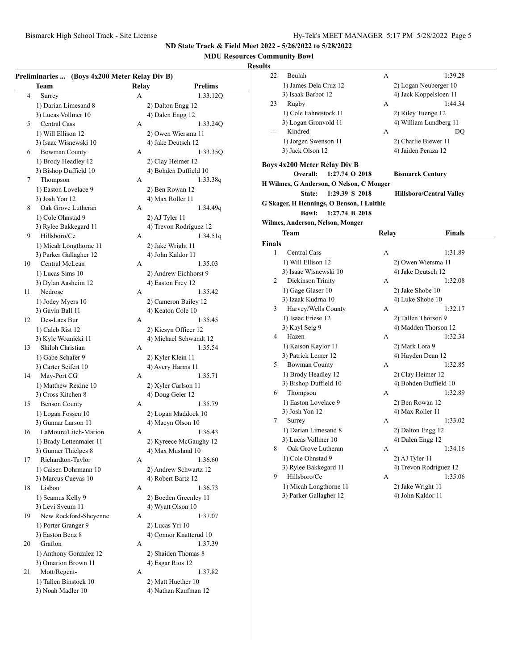## **MDU Resources Community Bowl**

## **Results**

|    | Preliminaries  (Boys 4x200 Meter Relay Div B) |       |                                        |
|----|-----------------------------------------------|-------|----------------------------------------|
|    | <b>Team</b>                                   | Relay | <b>Prelims</b>                         |
| 4  | Surrey                                        | А     | 1:33.12Q                               |
|    | 1) Darian Limesand 8                          |       | 2) Dalton Engg 12                      |
|    | 3) Lucas Vollmer 10                           |       | 4) Dalen Engg 12                       |
| 5  | Central Cass                                  | A     | 1:33.24Q                               |
|    | 1) Will Ellison 12                            |       | 2) Owen Wiersma 11                     |
|    | 3) Isaac Wisnewski 10                         |       | 4) Jake Deutsch 12                     |
| 6  | <b>Bowman County</b>                          | A     | 1:33.35Q                               |
|    | 1) Brody Headley 12                           |       | 2) Clay Heimer 12                      |
|    | 3) Bishop Duffield 10                         |       | 4) Bohden Duffield 10                  |
| 7  | Thompson                                      | A     | 1:33.38q                               |
|    | 1) Easton Lovelace 9                          |       | 2) Ben Rowan 12                        |
|    | 3) Josh Yon 12                                |       | 4) Max Roller 11                       |
| 8  | Oak Grove Lutheran                            | A     | 1:34.49q                               |
|    | 1) Cole Ohnstad 9                             |       | 2) AJ Tyler 11                         |
|    | 3) Rylee Bakkegard 11                         |       | 4) Trevon Rodriguez 12                 |
| 9  | Hillsboro/Ce                                  | A     | 1:34.51q                               |
|    | 1) Micah Longthorne 11                        |       | 2) Jake Wright 11                      |
|    | 3) Parker Gallagher 12                        |       | 4) John Kaldor 11                      |
| 10 | Central McLean                                | А     | 1:35.03                                |
|    | 1) Lucas Sims 10                              |       | 2) Andrew Eichhorst 9                  |
|    | 3) Dylan Aasheim 12                           |       | 4) Easton Frey 12                      |
| 11 | Nedrose                                       | А     | 1:35.42                                |
|    | 1) Jodey Myers 10                             |       | 2) Cameron Bailey 12                   |
|    | 3) Gavin Ball 11                              |       | 4) Keaton Cole 10                      |
| 12 | Des-Lacs Bur                                  | А     | 1:35.45                                |
|    | 1) Caleb Rist 12                              |       | 2) Kiesyn Officer 12                   |
|    | 3) Kyle Woznicki 11                           |       | 4) Michael Schwandt 12                 |
| 13 | Shiloh Christian                              | A     | 1:35.54                                |
|    | 1) Gabe Schafer 9                             |       |                                        |
|    | 3) Carter Seifert 10                          |       | 2) Kyler Klein 11<br>4) Avery Harms 11 |
| 14 | May-Port CG                                   | А     | 1:35.71                                |
|    | 1) Matthew Rexine 10                          |       |                                        |
|    | 3) Cross Kitchen 8                            |       | 2) Xyler Carlson 11                    |
| 15 | <b>Benson County</b>                          | А     | 4) Doug Geier 12<br>1:35.79            |
|    |                                               |       |                                        |
|    | 1) Logan Fossen 10<br>3) Gunnar Larson 11     |       | 2) Logan Maddock 10                    |
|    | LaMoure/Litch-Marion                          |       | 4) Macyn Olson 10                      |
| 16 |                                               | A     | 1:36.43                                |
|    | 1) Brady Lettenmaier 11                       |       | 2) Kyreece McGaughy 12                 |
|    | 3) Gunner Thielges 8<br>Richardton-Taylor     |       | 4) Max Musland 10                      |
| 17 |                                               | A     | 1:36.60                                |
|    | 1) Caisen Dohrmann 10                         |       | 2) Andrew Schwartz 12                  |
|    | 3) Marcus Cuevas 10<br>Lisbon                 |       | 4) Robert Bartz 12                     |
| 18 |                                               | А     | 1:36.73                                |
|    | 1) Seamus Kelly 9                             |       | 2) Boeden Greenley 11                  |
|    | 3) Levi Sveum 11                              |       | 4) Wyatt Olson 10                      |
| 19 | New Rockford-Sheyenne                         | A     | 1:37.07                                |
|    | 1) Porter Granger 9                           |       | 2) Lucas Yri 10                        |
|    | 3) Easton Benz 8                              |       | 4) Connor Knatterud 10                 |
| 20 | Grafton                                       | A     | 1:37.39                                |
|    | 1) Anthony Gonzalez 12                        |       | 2) Shaiden Thomas 8                    |
|    | 3) Omarion Brown 11                           |       | 4) Esgar Rios 12                       |
| 21 | Mott/Regent-                                  | A     | 1:37.82                                |
|    | 1) Tallen Binstock 10                         |       | 2) Matt Huether 10                     |
|    | 3) Noah Madler 10                             |       | 4) Nathan Kaufman 12                   |
|    |                                               |       |                                        |
|    |                                               |       |                                        |

| ults                                                                        |                                          |       |                                 |  |  |  |  |
|-----------------------------------------------------------------------------|------------------------------------------|-------|---------------------------------|--|--|--|--|
| 22                                                                          | Beulah                                   | А     | 1:39.28                         |  |  |  |  |
|                                                                             | 1) James Dela Cruz 12                    |       | 2) Logan Neuberger 10           |  |  |  |  |
|                                                                             | 3) Isaak Barbot 12                       |       | 4) Jack Koppelsloen 11          |  |  |  |  |
| 23                                                                          | Rugby                                    | А     | 1:44.34                         |  |  |  |  |
|                                                                             | 1) Cole Fahnestock 11                    |       | 2) Riley Tuenge 12              |  |  |  |  |
|                                                                             | 3) Logan Gronvold 11                     |       | 4) William Lundberg 11          |  |  |  |  |
| $---$                                                                       | Kindred                                  | А     | DO                              |  |  |  |  |
|                                                                             | 1) Jorgen Swenson 11                     |       | 2) Charlie Biewer 11            |  |  |  |  |
|                                                                             | 3) Jack Olson 12                         |       | 4) Jaiden Peraza 12             |  |  |  |  |
|                                                                             | <b>Boys 4x200 Meter Relay Div B</b>      |       |                                 |  |  |  |  |
|                                                                             | 1:27.74 O 2018<br>Overall:               |       | <b>Bismarck Century</b>         |  |  |  |  |
|                                                                             | H Wilmes, G Anderson, O Nelson, C Monger |       |                                 |  |  |  |  |
|                                                                             | 1:29.39 S 2018<br>State:                 |       | <b>Hillsboro/Central Valley</b> |  |  |  |  |
|                                                                             |                                          |       |                                 |  |  |  |  |
| G Skager, H Hennings, O Benson, I Luithle<br><b>Bowl:</b><br>1:27.74 B 2018 |                                          |       |                                 |  |  |  |  |
|                                                                             | Wilmes, Anderson, Nelson, Monger         |       |                                 |  |  |  |  |
|                                                                             |                                          |       |                                 |  |  |  |  |
|                                                                             | Team                                     | Relay | Finals                          |  |  |  |  |
| Finals<br>1                                                                 | Central Cass                             |       |                                 |  |  |  |  |
|                                                                             |                                          | А     | 1:31.89                         |  |  |  |  |
|                                                                             | 1) Will Ellison 12                       |       | 2) Owen Wiersma 11              |  |  |  |  |
|                                                                             | 3) Isaac Wisnewski 10                    |       | 4) Jake Deutsch 12              |  |  |  |  |
| 2                                                                           | Dickinson Trinity                        | А     | 1:32.08                         |  |  |  |  |
|                                                                             | 1) Gage Glaser 10<br>3) Izaak Kudrna 10  |       | 2) Jake Shobe 10                |  |  |  |  |
| 3                                                                           | Harvey/Wells County                      | А     | 4) Luke Shobe 10<br>1:32.17     |  |  |  |  |
|                                                                             | 1) Isaac Friese 12                       |       | 2) Tallen Thorson 9             |  |  |  |  |
|                                                                             | 3) Kayl Seig 9                           |       | 4) Madden Thorson 12            |  |  |  |  |
| 4                                                                           | Hazen                                    | А     | 1:32.34                         |  |  |  |  |
|                                                                             | 1) Kaison Kaylor 11                      |       | 2) Mark Lora 9                  |  |  |  |  |
|                                                                             | 3) Patrick Lemer 12                      |       | 4) Hayden Dean 12               |  |  |  |  |
| 5                                                                           | <b>Bowman County</b>                     | А     | 1:32.85                         |  |  |  |  |
|                                                                             | 1) Brody Headley 12                      |       | 2) Clay Heimer 12               |  |  |  |  |
|                                                                             | 3) Bishop Duffield 10                    |       | 4) Bohden Duffield 10           |  |  |  |  |
| 6                                                                           | Thompson                                 | А     | 1:32.89                         |  |  |  |  |
|                                                                             | 1) Easton Lovelace 9                     |       | 2) Ben Rowan 12                 |  |  |  |  |
|                                                                             | 3) Josh Yon 12                           |       | 4) Max Roller 11                |  |  |  |  |
| 7                                                                           | Surrey                                   | А     | 1:33.02                         |  |  |  |  |
|                                                                             | 1) Darian Limesand 8                     |       | 2) Dalton Engg 12               |  |  |  |  |
|                                                                             | 3) Lucas Vollmer 10                      |       | 4) Dalen Engg 12                |  |  |  |  |
| 8                                                                           | Oak Grove Lutheran                       | А     | 1:34.16                         |  |  |  |  |
|                                                                             | 1) Cole Ohnstad 9                        |       | 2) AJ Tyler 11                  |  |  |  |  |
|                                                                             | 3) Rylee Bakkegard 11                    |       | 4) Trevon Rodriguez 12          |  |  |  |  |
| 9                                                                           | Hillsboro/Ce                             | А     | 1:35.06                         |  |  |  |  |
|                                                                             | 1) Micah Longthorne 11                   |       | 2) Jake Wright 11               |  |  |  |  |
|                                                                             | 3) Parker Gallagher 12                   |       | 4) John Kaldor 11               |  |  |  |  |
|                                                                             |                                          |       |                                 |  |  |  |  |
|                                                                             |                                          |       |                                 |  |  |  |  |
|                                                                             |                                          |       |                                 |  |  |  |  |
|                                                                             |                                          |       |                                 |  |  |  |  |
|                                                                             |                                          |       |                                 |  |  |  |  |
|                                                                             |                                          |       |                                 |  |  |  |  |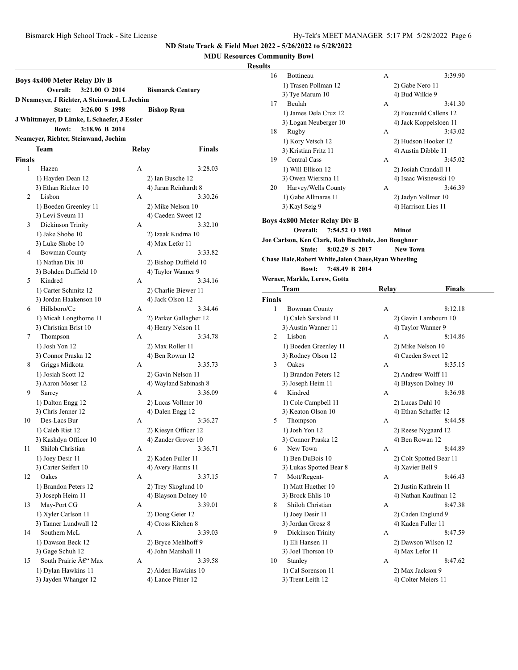## **MDU Resources Community Bowl**

## **Resu**

| <b>Boys 4x400 Meter Relay Div B</b><br>Overall:<br>3:21.00 O 2014<br><b>Bismarck Century</b> |                                             |       |                        |  |  |  |  |
|----------------------------------------------------------------------------------------------|---------------------------------------------|-------|------------------------|--|--|--|--|
| D Neameyer, J Richter, A Steinwand, L Jochim                                                 |                                             |       |                        |  |  |  |  |
|                                                                                              | State:<br>3:26.00 S 1998                    |       | <b>Bishop Ryan</b>     |  |  |  |  |
|                                                                                              | J Whittmayer, D Limke, L Schaefer, J Essler |       |                        |  |  |  |  |
|                                                                                              | <b>Bowl:</b><br>3:18.96 B 2014              |       |                        |  |  |  |  |
|                                                                                              | Neameyer, Richter, Steinwand, Jochim        |       |                        |  |  |  |  |
|                                                                                              |                                             |       |                        |  |  |  |  |
|                                                                                              | Team                                        | Relay | Finals                 |  |  |  |  |
| Finals                                                                                       |                                             |       |                        |  |  |  |  |
| 1                                                                                            | Hazen                                       | А     | 3:28.03                |  |  |  |  |
|                                                                                              | 1) Hayden Dean 12                           |       | 2) Ian Busche 12       |  |  |  |  |
|                                                                                              | 3) Ethan Richter 10                         |       | 4) Jaran Reinhardt 8   |  |  |  |  |
| 2                                                                                            | Lisbon                                      | А     | 3:30.26                |  |  |  |  |
|                                                                                              | 1) Boeden Greenley 11                       |       | 2) Mike Nelson 10      |  |  |  |  |
|                                                                                              | 3) Levi Sveum 11                            |       | 4) Caeden Sweet 12     |  |  |  |  |
| 3                                                                                            | Dickinson Trinity                           | А     | 3:32.10                |  |  |  |  |
|                                                                                              | 1) Jake Shobe 10                            |       | 2) Izaak Kudrna 10     |  |  |  |  |
|                                                                                              | 3) Luke Shobe 10                            |       | 4) Max Lefor 11        |  |  |  |  |
| 4                                                                                            | <b>Bowman County</b>                        | А     | 3:33.82                |  |  |  |  |
|                                                                                              | 1) Nathan Dix 10                            |       | 2) Bishop Duffield 10  |  |  |  |  |
|                                                                                              | 3) Bohden Duffield 10                       |       | 4) Taylor Wanner 9     |  |  |  |  |
| 5                                                                                            | Kindred                                     | А     | 3:34.16                |  |  |  |  |
|                                                                                              | 1) Carter Schmitz 12                        |       | 2) Charlie Biewer 11   |  |  |  |  |
|                                                                                              | 3) Jordan Haakenson 10                      |       | 4) Jack Olson 12       |  |  |  |  |
| 6                                                                                            | Hillsboro/Ce                                | А     | 3:34.46                |  |  |  |  |
|                                                                                              | 1) Micah Longthorne 11                      |       | 2) Parker Gallagher 12 |  |  |  |  |
|                                                                                              | 3) Christian Brist 10                       |       | 4) Henry Nelson 11     |  |  |  |  |
| 7                                                                                            | Thompson                                    | А     | 3:34.78                |  |  |  |  |
|                                                                                              | 1) Josh Yon 12                              |       | 2) Max Roller 11       |  |  |  |  |
|                                                                                              | 3) Connor Praska 12                         |       | 4) Ben Rowan 12        |  |  |  |  |
| 8                                                                                            | Griggs Midkota                              | А     | 3:35.73                |  |  |  |  |
|                                                                                              | 1) Josiah Scott 12                          |       | 2) Gavin Nelson 11     |  |  |  |  |
|                                                                                              | 3) Aaron Moser 12                           |       | 4) Wayland Sabinash 8  |  |  |  |  |
| 9                                                                                            | Surrey                                      | А     | 3:36.09                |  |  |  |  |
|                                                                                              | 1) Dalton Engg 12                           |       | 2) Lucas Vollmer 10    |  |  |  |  |
|                                                                                              | 3) Chris Jenner 12                          |       | 4) Dalen Engg 12       |  |  |  |  |
| 10                                                                                           | Des-Lacs Bur                                | А     | 3:36.27                |  |  |  |  |
|                                                                                              | 1) Caleb Rist 12                            |       | 2) Kiesyn Officer 12   |  |  |  |  |
|                                                                                              | 3) Kashdyn Officer 10                       |       | 4) Zander Grover 10    |  |  |  |  |
| 11 —                                                                                         | Shiloh Christian                            | А     | 3:36.71                |  |  |  |  |
|                                                                                              | 1) Joey Desir 11                            |       | 2) Kaden Fuller 11     |  |  |  |  |
|                                                                                              | 3) Carter Seifert 10                        |       | 4) Avery Harms 11      |  |  |  |  |
| 12                                                                                           | Oakes                                       | А     | 3:37.15                |  |  |  |  |
|                                                                                              | 1) Brandon Peters 12                        |       | 2) Trey Skoglund 10    |  |  |  |  |
|                                                                                              | 3) Joseph Heim 11                           |       | 4) Blayson Dolney 10   |  |  |  |  |
| 13                                                                                           | May-Port CG                                 | А     | 3:39.01                |  |  |  |  |
|                                                                                              | 1) Xyler Carlson 11                         |       | 2) Doug Geier 12       |  |  |  |  |
|                                                                                              | 3) Tanner Lundwall 12                       |       | 4) Cross Kitchen 8     |  |  |  |  |
| 14                                                                                           | Southern McL                                | А     | 3:39.03                |  |  |  |  |
|                                                                                              | 1) Dawson Beck 12                           |       | 2) Bryce Mehlhoff 9    |  |  |  |  |
|                                                                                              | 3) Gage Schuh 12                            |       | 4) John Marshall 11    |  |  |  |  |
| 15                                                                                           | South Prairie €" Max                        | А     | 3:39.58                |  |  |  |  |
|                                                                                              | 1) Dylan Hawkins 11                         |       | 2) Aiden Hawkins 10    |  |  |  |  |
|                                                                                              | 3) Jayden Whanger 12                        |       | 4) Lance Pitner 12     |  |  |  |  |

| ılts   |                                                      |              |                         |
|--------|------------------------------------------------------|--------------|-------------------------|
| 16     | Bottineau                                            | A            | 3:39.90                 |
|        | 1) Trasen Pollman 12                                 |              | 2) Gabe Nero 11         |
|        | 3) Tye Marum 10                                      |              | 4) Bud Wilkie 9         |
| 17     | Beulah                                               | А            | 3:41.30                 |
|        | 1) James Dela Cruz 12                                |              | 2) Foucauld Callens 12  |
|        | 3) Logan Neuberger 10                                |              | 4) Jack Koppelsloen 11  |
| 18     | Rugby                                                | А            | 3:43.02                 |
|        | 1) Kory Vetsch 12                                    |              | 2) Hudson Hooker 12     |
|        | 3) Kristian Fritz 11                                 |              | 4) Austin Dibble 11     |
| 19     | Central Cass                                         | А            | 3:45.02                 |
|        | 1) Will Ellison 12                                   |              | 2) Josiah Crandall 11   |
|        | 3) Owen Wiersma 11                                   |              | 4) Isaac Wisnewski 10   |
| 20     | Harvey/Wells County                                  | А            | 3:46.39                 |
|        | 1) Gabe Allmaras 11                                  |              | 2) Jadyn Vollmer 10     |
|        | 3) Kayl Seig 9                                       |              | 4) Harrison Lies 11     |
|        |                                                      |              |                         |
|        | <b>Boys 4x800 Meter Relay Div B</b>                  |              |                         |
|        | 7:54.52 O 1981<br>Overall:                           |              | Minot                   |
|        | Joe Carlson, Ken Clark, Rob Buchholz, Jon Boughner   |              |                         |
|        | 8:02.29 S 2017<br>State:                             |              | <b>New Town</b>         |
|        | Chase Hale, Robert White, Jalen Chase, Ryan Wheeling |              |                         |
|        | 7:48.49 B 2014<br><b>Bowl:</b>                       |              |                         |
|        | Werner, Markle, Lerew, Gotta                         |              |                         |
|        | Team                                                 | <b>Relay</b> | <b>Finals</b>           |
| Finals |                                                      |              |                         |
| 1      | <b>Bowman County</b>                                 | А            | 8:12.18                 |
|        | 1) Caleb Sarsland 11                                 |              | 2) Gavin Lambourn 10    |
|        | 3) Austin Wanner 11                                  |              | 4) Taylor Wanner 9      |
| 2      | Lisbon                                               | А            | 8:14.86                 |
|        | 1) Boeden Greenley 11                                |              | 2) Mike Nelson 10       |
|        | 3) Rodney Olson 12                                   |              | 4) Caeden Sweet 12      |
| 3      | Oakes                                                | А            | 8:35.15                 |
|        | 1) Brandon Peters 12                                 |              | 2) Andrew Wolff 11      |
|        | 3) Joseph Heim 11                                    |              | 4) Blayson Dolney 10    |
| 4      | Kindred                                              | А            | 8:36.98                 |
|        | 1) Cole Campbell 11                                  |              | 2) Lucas Dahl 10        |
|        | 3) Keaton Olson 10                                   |              | 4) Ethan Schaffer 12    |
| 5      | Thompson                                             | А            | 8:44.58                 |
|        | 1) Josh Yon 12                                       |              | 2) Reese Nygaard 12     |
|        | 3) Connor Praska 12                                  |              | 4) Ben Rowan 12         |
| 6      | New Town                                             | А            | 8:44.89                 |
|        | 1) Ben DuBois 10                                     |              | 2) Colt Spotted Bear 11 |
|        | 3) Lukas Spotted Bear 8                              |              | 4) Xavier Bell 9        |
| 7      | Mott/Regent-                                         | А            | 8:46.43                 |
|        | 1) Matt Huether 10                                   |              | 2) Justin Kathrein 11   |
|        | 3) Brock Ehlis 10                                    |              | 4) Nathan Kaufman 12    |
| 8      | Shiloh Christian                                     | А            | 8:47.38                 |
|        | 1) Joey Desir 11                                     |              | 2) Caden Englund 9      |
|        | 3) Jordan Grosz 8                                    |              | 4) Kaden Fuller 11      |
| 9      | Dickinson Trinity                                    | А            | 8:47.59                 |
|        | 1) Eli Hansen 11                                     |              | 2) Dawson Wilson 12     |
|        | 3) Joel Thorson 10                                   |              | 4) Max Lefor 11         |
| 10     | Stanley                                              | А            | 8:47.62                 |
|        | 1) Cal Sorenson 11                                   |              | 2) Max Jackson 9        |
|        | 3) Trent Leith 12                                    |              | 4) Colter Meiers 11     |
|        |                                                      |              |                         |
|        |                                                      |              |                         |
|        |                                                      |              |                         |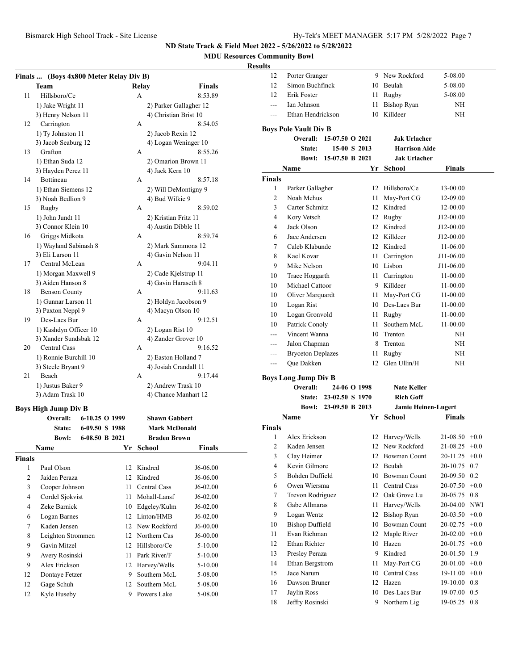## **MDU Resources Community Bowl**

## **Results**

|                | Finals  (Boys 4x800 Meter Relay Div B) |                |      |                      |                        |             |
|----------------|----------------------------------------|----------------|------|----------------------|------------------------|-------------|
|                | Team                                   |                |      | Relay                |                        | Finals      |
| 11             | Hillsboro/Ce                           |                |      | A                    |                        | 8:53.89     |
|                | 1) Jake Wright 11                      |                |      |                      | 2) Parker Gallagher 12 |             |
|                | 3) Henry Nelson 11                     |                |      |                      | 4) Christian Brist 10  |             |
| 12             | Carrington                             |                |      | А                    |                        | 8:54.05     |
|                | 1) Ty Johnston 11                      |                |      |                      | 2) Jacob Rexin 12      |             |
|                | 3) Jacob Seaburg 12                    |                |      |                      | 4) Logan Weninger 10   |             |
| 13             | Grafton                                |                |      | A                    |                        | 8:55.26     |
|                | 1) Ethan Suda 12                       |                |      |                      | 2) Omarion Brown 11    |             |
|                | 3) Hayden Perez 11                     |                |      |                      | 4) Jack Kern 10        |             |
| 14             | Bottineau                              |                |      | А                    |                        | 8:57.18     |
|                | 1) Ethan Siemens 12                    |                |      |                      | 2) Will DeMontigny 9   |             |
|                | 3) Noah Bedlion 9                      |                |      |                      | 4) Bud Wilkie 9        |             |
| 15             | Rugby                                  |                |      | A                    |                        | 8:59.02     |
|                | 1) John Jundt 11                       |                |      |                      | 2) Kristian Fritz 11   |             |
|                | 3) Connor Klein 10                     |                |      |                      | 4) Austin Dibble 11    |             |
| 16             | Griggs Midkota                         |                |      | A                    |                        | 8:59.74     |
|                | 1) Wayland Sabinash 8                  |                |      |                      | 2) Mark Sammons 12     |             |
|                | 3) Eli Larson 11                       |                |      |                      | 4) Gavin Nelson 11     |             |
| 17             | Central McLean                         |                | A    |                      | 9:04.11                |             |
|                | 1) Morgan Maxwell 9                    |                |      |                      | 2) Cade Kjelstrup 11   |             |
|                | 3) Aiden Hanson 8                      |                |      |                      | 4) Gavin Haraseth 8    |             |
| 18             | <b>Benson County</b>                   |                | А    |                      | 9:11.63                |             |
|                | 1) Gunnar Larson 11                    |                |      | 2) Holdyn Jacobson 9 |                        |             |
|                | 3) Paxton Neppl 9                      |                |      | 4) Macyn Olson 10    |                        |             |
| 19             | Des-Lacs Bur                           |                |      | A                    |                        | 9:12.51     |
|                | 1) Kashdyn Officer 10                  |                |      |                      | 2) Logan Rist 10       |             |
|                | 3) Xander Sundsbak 12                  |                |      |                      | 4) Zander Grover 10    |             |
| 20             | <b>Central Cass</b>                    |                |      | A                    |                        | 9:16.52     |
|                | 1) Ronnie Burchill 10                  |                |      |                      | 2) Easton Holland 7    |             |
|                | 3) Steele Bryant 9                     |                |      |                      | 4) Josiah Crandall 11  |             |
| 21             | Beach                                  |                |      | A                    |                        | 9:17.44     |
|                | 1) Justus Baker 9                      |                |      |                      | 2) Andrew Trask 10     |             |
|                | 3) Adam Trask 10                       |                |      |                      | 4) Chance Manhart 12   |             |
|                | <b>Boys High Jump Div B</b>            |                |      |                      |                        |             |
|                | Overall:                               | 6-10.25 O 1999 |      |                      | <b>Shawn Gabbert</b>   |             |
|                | State:                                 | 6-09.50 S 1988 |      |                      | <b>Mark McDonald</b>   |             |
|                | <b>Bowl:</b>                           | 6-08.50 B 2021 |      |                      | <b>Braden Brown</b>    |             |
|                | <b>Name</b>                            |                | Yr   |                      | School                 | Finals      |
| <b>Finals</b>  |                                        |                |      |                      |                        |             |
| 1              | Paul Olson                             |                |      |                      | 12 Kindred             | J6-06.00    |
| $\overline{c}$ | Jaiden Peraza                          |                | 12   |                      | Kindred                | J6-06.00    |
| 3              | Cooper Johnson                         |                | 11 - |                      | <b>Central Cass</b>    |             |
|                |                                        |                |      |                      |                        | J6-02.00    |
| 4              | Cordel Sjokvist                        |                | 11   |                      | Mohall-Lansf           | J6-02.00    |
| 4              | Zeke Barnick                           |                | 10   |                      | Edgeley/Kulm           | J6-02.00    |
| 6              | Logan Barnes                           |                |      |                      | 12 Linton/HMB          | J6-02.00    |
| 7              | Kaden Jensen                           |                |      |                      | 12 New Rockford        | J6-00.00    |
| 8              | Leighton Strommen                      |                |      |                      | 12 Northern Cas        | J6-00.00    |
| 9              | Gavin Mitzel                           |                |      |                      | 12 Hillsboro/Ce        | 5-10.00     |
| 9              | Avery Rosinski                         |                | 11   |                      | Park River/F           | 5-10.00     |
| 9              | Alex Erickson                          |                |      |                      | 12 Harvey/Wells        | $5 - 10.00$ |
| 12             | Dontaye Fetzer                         |                | 9    |                      | Southern McL           | 5-08.00     |
| 12             | Gage Schuh                             |                | 12   |                      | Southern McL           | 5-08.00     |
| 12             | Kyle Huseby                            |                |      |                      | 9 Powers Lake          | 5-08.00     |

| um                 |                                                 |                       |      |                            |                      |          |
|--------------------|-------------------------------------------------|-----------------------|------|----------------------------|----------------------|----------|
| 12                 | Porter Granger                                  |                       |      | 9 New Rockford             | 5-08.00              |          |
| 12                 | Simon Buchfinck                                 |                       |      | 10 Beulah                  | 5-08.00              |          |
| 12                 | Erik Foster                                     |                       |      | 11 Rugby                   | 5-08.00              |          |
| $---$              | Ian Johnson                                     |                       | 11   | <b>Bishop Ryan</b>         | NH                   |          |
| $---$              | Ethan Hendrickson                               |                       |      | 10 Killdeer                | NH                   |          |
|                    |                                                 |                       |      |                            |                      |          |
|                    | <b>Boys Pole Vault Div B</b><br><b>Overall:</b> | 15-07.50 O 2021       |      | <b>Jak Urlacher</b>        |                      |          |
|                    | State:                                          | 15-00 S 2013          |      | <b>Harrison Aide</b>       |                      |          |
|                    | <b>Bowl:</b>                                    | 15-07.50 B 2021       |      | <b>Jak Urlacher</b>        |                      |          |
|                    |                                                 |                       |      |                            |                      |          |
|                    | Name                                            |                       |      | Yr School                  | Finals               |          |
| <b>Finals</b><br>1 | Parker Gallagher                                |                       |      | 12 Hillsboro/Ce            | 13-00.00             |          |
| 2                  |                                                 |                       |      |                            |                      |          |
|                    | Noah Mehus                                      |                       |      | 11 May-Port CG             | 12-09.00             |          |
| 3<br>4             | Carter Schmitz                                  |                       |      | 12 Kindred                 | 12-00.00             |          |
|                    | Kory Vetsch                                     |                       |      | 12 Rugby                   | J12-00.00            |          |
| 4                  | Jack Olson<br>Jace Andersen                     |                       |      | 12 Kindred<br>12 Killdeer  | J12-00.00            |          |
| 6<br>7             | Caleb Klabunde                                  |                       |      | 12 Kindred                 | J12-00.00            |          |
|                    | Kael Kovar                                      |                       |      | 11 Carrington              | 11-06.00             |          |
| 8                  | Mike Nelson                                     |                       |      | 10 Lisbon                  | J11-06.00            |          |
| 9                  |                                                 |                       |      |                            | J11-06.00            |          |
| 10                 | Trace Hoggarth                                  |                       |      | 11 Carrington              | 11-00.00<br>11-00.00 |          |
| 10                 | Michael Cattoor                                 |                       |      | 9 Killdeer                 |                      |          |
| 10                 | Oliver Marquardt                                |                       |      | 11 May-Port CG             | 11-00.00             |          |
| 10                 | Logan Rist                                      |                       |      | 10 Des-Lacs Bur            | 11-00.00             |          |
| 10                 | Logan Gronvold                                  |                       |      | 11 Rugby                   | 11-00.00             |          |
| 10                 | Patrick Conoly                                  |                       |      | 11 Southern McL            | 11-00.00             |          |
| ---                | Vincent Wanna                                   |                       |      | 10 Trenton                 | NΗ                   |          |
| $---$              | Jalon Chapman                                   |                       |      | 8 Trenton                  | NΗ                   |          |
| ---                | <b>Bryceton Deplazes</b>                        |                       | 11 - | Rugby                      | NΗ                   |          |
| ---                | Que Dakken                                      |                       | 12   | Glen Ullin/H               | NH                   |          |
|                    | <b>Boys Long Jump Div B</b>                     |                       |      |                            |                      |          |
|                    | Overall:                                        | 24-06 O 1998          |      | <b>Nate Keller</b>         |                      |          |
|                    | <b>State:</b>                                   | 23-02.50 S 1970       |      | <b>Rich Goff</b>           |                      |          |
|                    |                                                 | Bowl: 23-09.50 B 2013 |      | <b>Jamie Heinen-Lugert</b> |                      |          |
|                    | Name                                            |                       | Yr   | <b>School</b>              | Finals               |          |
| <b>Finals</b>      |                                                 |                       |      |                            |                      |          |
| 1                  | Alex Erickson                                   |                       |      | 12 Harvey/Wells            | $21-08.50 +0.0$      |          |
| 2                  | Kaden Jensen                                    |                       |      | 12 New Rockford            | $21-08.25$ +0.0      |          |
| 3                  | Clay Heimer                                     |                       |      | 12 Bowman Count            | 20-11.25             | $+0.0$   |
| 4                  | Kevin Gilmore                                   |                       | 12   | Beulah                     | 20-10.75             | 0.7      |
| 5                  | Bohden Duffield                                 |                       | 10   | <b>Bowman Count</b>        | 20-09.50             | 0.2      |
| 6                  | Owen Wiersma                                    |                       | 11   | <b>Central Cass</b>        | 20-07.50             | $+0.0$   |
| 7                  | Trevon Rodriguez                                |                       | 12   | Oak Grove Lu               | 20-05.75             | 0.8      |
| 8                  | Gabe Allmaras                                   |                       | 11   | Harvey/Wells               | 20-04.00             | NWI      |
| 9                  | Logan Wentz                                     |                       | 12   | <b>Bishop Ryan</b>         | 20-03.50             | $+0.0$   |
| 10                 | <b>Bishop Duffield</b>                          |                       | 10   | <b>Bowman Count</b>        | 20-02.75             | $+0.0$   |
| 11                 | Evan Richman                                    |                       | 12   | Maple River                | 20-02.00             | $+0.0$   |
| 12                 | Ethan Richter                                   |                       | 10   | Hazen                      | 20-01.75             | $+0.0$   |
| 13                 | Presley Peraza                                  |                       | 9    | Kindred                    | 20-01.50             | 1.9      |
| 14                 | Ethan Bergstrom                                 |                       | 11   | May-Port CG                | 20-01.00             | $+0.0\,$ |
| 15                 | Jace Narum                                      |                       | 10   | Central Cass               | 19-11.00             | $+0.0$   |

16 Dawson Bruner 12 Hazen 19-10.00 0.8 17 Jaylin Ross 10 Des-Lacs Bur 19-07.00 0.5 18 Jeffry Rosinski 9 Northern Lig 19-05.25 0.8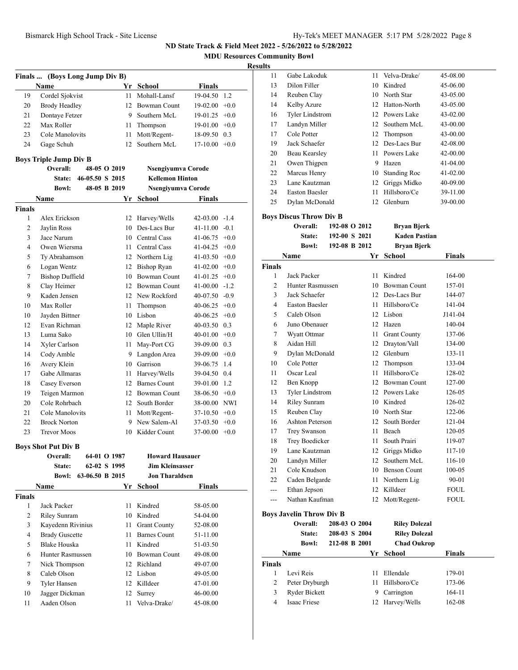**MDU Resources Community Bowl**

## **Results**

|                               | Finals  (Boys Long Jump Div B)            |              |                              |                  |        |  |  |
|-------------------------------|-------------------------------------------|--------------|------------------------------|------------------|--------|--|--|
|                               | Name                                      |              | Yr School                    | <b>Finals</b>    |        |  |  |
| 19                            | Cordel Sjokvist                           | 11           | Mohall-Lansf                 | 19-04.50         | 1.2    |  |  |
| 20                            | <b>Brody Headley</b>                      | 12           | <b>Bowman Count</b>          | 19-02.00         | $+0.0$ |  |  |
| 21                            | Dontaye Fetzer                            | 9.           | Southern McL                 | 19-01.25         | $+0.0$ |  |  |
| 22                            | Max Roller                                | 11           | Thompson                     | 19-01.00         | $+0.0$ |  |  |
| 23                            | Cole Manolovits                           | 11           | Mott/Regent-                 | 18-09.50         | 0.3    |  |  |
| 24                            | Gage Schuh                                | 12           | Southern McL                 | 17-10.00         | $+0.0$ |  |  |
|                               |                                           |              |                              |                  |        |  |  |
|                               | <b>Boys Triple Jump Div B</b><br>Overall: | 48-05 O 2019 | Nsengiyumva Corode           |                  |        |  |  |
|                               | 46-05.50 S 2015<br>State:                 |              | <b>Kellemon Hinton</b>       |                  |        |  |  |
|                               | <b>Bowl:</b>                              | 48-05 B 2019 | Nsengiyumva Corode           |                  |        |  |  |
|                               |                                           |              |                              |                  |        |  |  |
|                               | Name                                      | Yr           | <b>School</b>                | <b>Finals</b>    |        |  |  |
| <b>Finals</b><br>$\mathbf{1}$ | Alex Erickson                             | 12           |                              | 42-03.00         | $-1.4$ |  |  |
| 2                             | Jaylin Ross                               | 10           | Harvey/Wells<br>Des-Lacs Bur | 41-11.00         | $-0.1$ |  |  |
| 3                             | Jace Narum                                |              | 10 Central Cass              | 41-06.75         | $+0.0$ |  |  |
| 4                             | Owen Wiersma                              | 11 -         | Central Cass                 | 41-04.25         | $+0.0$ |  |  |
| 5                             | Ty Abrahamson                             |              | 12 Northern Lig              | 41-03.50         | $+0.0$ |  |  |
| 6                             | Logan Wentz                               | 12           | <b>Bishop Ryan</b>           | 41-02.00         | $+0.0$ |  |  |
| 7                             | <b>Bishop Duffield</b>                    | 10           | <b>Bowman Count</b>          | $41-01.25$ +0.0  |        |  |  |
| 8                             | Clay Heimer                               |              | 12 Bowman Count              | $41-00.00 -1.2$  |        |  |  |
| 9                             | Kaden Jensen                              |              | 12 New Rockford              | $40-07.50 -0.9$  |        |  |  |
| 10                            | Max Roller                                | 11           | Thompson                     | $40-06.25$ +0.0  |        |  |  |
| 10                            | Jayden Bittner                            |              | 10 Lisbon                    | $40-06.25$ +0.0  |        |  |  |
| 12                            | Evan Richman                              |              | 12 Maple River               | 40-03.50 0.3     |        |  |  |
| 13                            | Luma Sako                                 |              | 10 Glen Ullin/H              | 40-01.00         | $+0.0$ |  |  |
| 14                            | Xyler Carlson                             | 11           | May-Port CG                  | 39-09.00         | 0.3    |  |  |
| 14                            | Cody Amble                                | 9.           | Langdon Area                 | 39-09.00         | $+0.0$ |  |  |
| 16                            | Avery Klein                               |              | 10 Garrison                  | 39-06.75         | 1.4    |  |  |
| 17                            | Gabe Allmaras                             | 11           | Harvey/Wells                 | 39-04.50         | 0.4    |  |  |
| 18                            | Casey Everson                             | 12           | <b>Barnes Count</b>          | 39-01.00         | 1.2    |  |  |
| 19                            | Teigen Marmon                             |              | 12 Bowman Count              | $38-06.50 +0.0$  |        |  |  |
| 20                            | Cole Rohrbach                             | 12           | South Border                 | 38-00.00 NWI     |        |  |  |
| 21                            | Cole Manolovits                           | 11           | Mott/Regent-                 | 37-10.50         | $+0.0$ |  |  |
| 22                            | <b>Brock Norton</b>                       | 9            | New Salem-Al                 | 37-03.50         | $+0.0$ |  |  |
| 23                            | <b>Trevor Moos</b>                        |              | 10 Kidder Count              | $37-00.00 + 0.0$ |        |  |  |
|                               |                                           |              |                              |                  |        |  |  |
|                               | <b>Boys Shot Put Div B</b>                |              |                              |                  |        |  |  |
|                               | Overall:                                  | 64-01 O 1987 | <b>Howard Hausauer</b>       |                  |        |  |  |
|                               | State:                                    | 62-02 S 1995 | <b>Jim Kleinsasser</b>       |                  |        |  |  |
|                               | <b>Bowl:</b><br>63-06.50 B 2015           |              | <b>Jon Tharaldsen</b>        |                  |        |  |  |
|                               | Name                                      |              | Yr School                    | <b>Finals</b>    |        |  |  |
| <b>Finals</b>                 |                                           |              |                              |                  |        |  |  |
| 1                             | Jack Packer                               | 11           | Kindred                      | 58-05.00         |        |  |  |
| 2                             | Riley Sunram                              | 10           | Kindred                      | 54-04.00         |        |  |  |
| 3                             | Kayedenn Rivinius                         | 11           | <b>Grant County</b>          | 52-08.00         |        |  |  |
| 4                             | <b>Brady Guscette</b>                     | 11           | <b>Barnes Count</b>          | 51-11.00         |        |  |  |
| 5                             | <b>Blake Houska</b>                       | 11           | Kindred                      | 51-03.50         |        |  |  |
| 6                             | <b>Hunter Rasmussen</b>                   |              | 10 Bowman Count              | 49-08.00         |        |  |  |
| 7                             | Nick Thompson                             |              | 12 Richland                  | 49-07.00         |        |  |  |
| 8                             | Caleb Olson                               |              | 12 Lisbon                    | 49-05.00         |        |  |  |
| 9                             | Tyler Hansen                              |              | 12 Killdeer                  | 47-01.00         |        |  |  |
| 10                            | Jagger Dickman                            | 12           | Surrey                       | 46-00.00         |        |  |  |
| 11                            | Aaden Olson                               | 11           | Velva-Drake/                 | 45-08.00         |        |  |  |

| 11 | Gabe Lakoduk           | 11 | Velva-Drake/        | 45-08.00     |
|----|------------------------|----|---------------------|--------------|
| 13 | Dilon Filler           | 10 | Kindred             | 45-06.00     |
| 14 | Reuben Clay            | 10 | North Star          | 43-05.00     |
| 14 | Kelby Azure            |    | 12 Hatton-North     | 43-05.00     |
| 16 | <b>Tyler Lindstrom</b> |    | 12 Powers Lake      | $43 - 02.00$ |
| 17 | Landyn Miller          | 12 | Southern McL        | 43-00.00     |
| 17 | Cole Potter            |    | 12 Thompson         | 43-00.00     |
| 19 | Jack Schaefer          |    | 12 Des-Lacs Bur     | 42-08.00     |
| 20 | Beau Kearsley          | 11 | Powers Lake         | 42-00.00     |
| 21 | Owen Thigpen           | 9  | Hazen               | $41-04.00$   |
| 22 | Marcus Henry           | 10 | <b>Standing Roc</b> | $41 - 02.00$ |
| 23 | Lane Kautzman          | 12 | Griggs Midko        | 40-09.00     |
| 24 | <b>Easton Baesler</b>  | 11 | Hillsboro/Ce        | 39-11.00     |
| 25 | Dylan McDonald         | 12 | Glenburn            | 39-00.00     |

#### **Boys Discus Throw Div B**

|                | Overall:               | 192-08 O 2012 | <b>Bryan Bjerk</b>   |               |
|----------------|------------------------|---------------|----------------------|---------------|
|                | State:                 | 192-00 S 2021 | <b>Kaden Pastian</b> |               |
|                | <b>Bowl:</b>           | 192-08 B 2012 | <b>Bryan Bjerk</b>   |               |
|                | Name                   | Yr            | <b>School</b>        | <b>Finals</b> |
| <b>Finals</b>  |                        |               |                      |               |
| 1              | Jack Packer            | 11            | Kindred              | 164-00        |
| $\overline{c}$ | Hunter Rasmussen       | 10            | <b>Bowman Count</b>  | 157-01        |
| 3              | Jack Schaefer          |               | 12 Des-Lacs Bur      | 144-07        |
| $\overline{4}$ | <b>Easton Baesler</b>  |               | 11 Hillsboro/Ce      | $141 - 04$    |
| 5              | Caleb Olson            | 12            | Lisbon               | J141-04       |
| 6              | Juno Obenauer          | 12            | Hazen                | 140-04        |
| 7              | Wyatt Ottmar           | 11            | <b>Grant County</b>  | 137-06        |
| 8              | Aidan Hill             | 12            | Drayton/Vall         | 134-00        |
| 9              | Dylan McDonald         | 12            | Glenburn             | 133-11        |
| 10             | Cole Potter            | 12            | Thompson             | 133-04        |
| 11             | Oscar Leal             | 11            | Hillsboro/Ce         | 128-02        |
| 12             | Ben Knopp              | 12            | <b>Bowman Count</b>  | 127-00        |
| 13             | <b>Tyler Lindstrom</b> |               | 12 Powers Lake       | 126-05        |
| 14             | <b>Riley Sunram</b>    |               | 10 Kindred           | 126-02        |
| 15             | Reuben Clay            |               | 10 North Star        | 122-06        |
| 16             | Ashton Peterson        |               | 12 South Border      | 121-04        |
| 17             | <b>Trey Swanson</b>    | 11            | Beach                | 120-05        |
| 18             | Trey Boedicker         | 11            | South Prairi         | 119-07        |
| 19             | Lane Kautzman          | 12            | Griggs Midko         | $117 - 10$    |
| 20             | Landyn Miller          | 12            | Southern McL         | 116-10        |
| 21             | Cole Knudson           |               | 10 Benson Count      | 100-05        |
| 22             | Caden Belgarde         | 11            | Northern Lig         | 90-01         |
| ---            | Ethan Jepson           | 12            | Killdeer             | <b>FOUL</b>   |
| ---            | Nathan Kaufman         | 12            | Mott/Regent-         | <b>FOUL</b>   |

| $\cdot$        | Overall:<br>State:<br><b>Bowl:</b> | 208-03 O 2004<br>208-03 S 2004<br>212-08 B 2001 |    | <b>Riley Dolezal</b><br><b>Riley Dolezal</b><br><b>Chad Oukrop</b> |               |
|----------------|------------------------------------|-------------------------------------------------|----|--------------------------------------------------------------------|---------------|
|                | <b>Name</b>                        |                                                 |    | Yr School                                                          | <b>Finals</b> |
| <b>Finals</b>  |                                    |                                                 |    |                                                                    |               |
|                | Levi Reis                          |                                                 | 11 | Ellendale                                                          | 179-01        |
| $\overline{c}$ | Peter Dryburgh                     |                                                 | 11 | Hillsboro/Ce                                                       | 173-06        |
| 3              | Ryder Bickett                      |                                                 | 9  | Carrington                                                         | 164-11        |
| 4              | Isaac Friese                       |                                                 |    | 12 Harvey/Wells                                                    | 162-08        |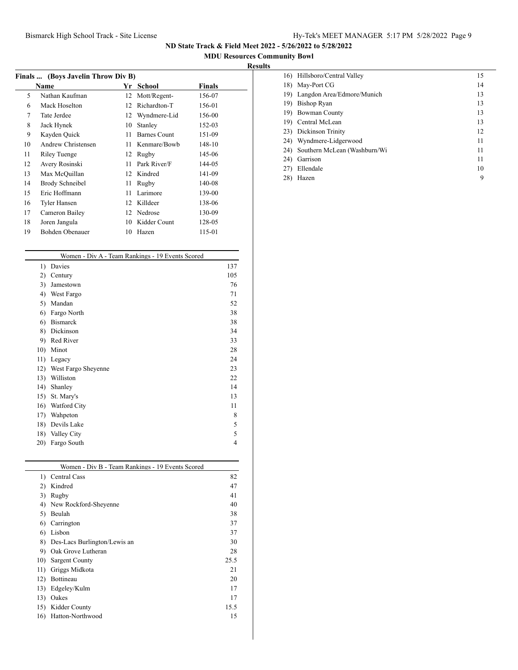$\overline{\phantom{a}}$ 

**ND State Track & Field Meet 2022 - 5/26/2022 to 5/28/2022**

## **MDU Resources Community Bowl**

## **Results**

| Finals  (Boys Javelin Throw Div B) |                    |    |                     |        |  |  |  |
|------------------------------------|--------------------|----|---------------------|--------|--|--|--|
|                                    | Name               | Yr | School              | Finals |  |  |  |
| 5                                  | Nathan Kaufman     | 12 | Mott/Regent-        | 156-07 |  |  |  |
| 6                                  | Mack Hoselton      | 12 | Richardton-T        | 156-01 |  |  |  |
| 7                                  | Tate Jerdee        | 12 | Wyndmere-Lid        | 156-00 |  |  |  |
| 8                                  | Jack Hynek         | 10 | Stanley             | 152-03 |  |  |  |
| 9                                  | Kayden Quick       | 11 | <b>Barnes Count</b> | 151-09 |  |  |  |
| 10                                 | Andrew Christensen | 11 | Kenmare/Bowb        | 148-10 |  |  |  |
| 11                                 | Riley Tuenge       | 12 | Rugby               | 145-06 |  |  |  |
| 12                                 | Avery Rosinski     | 11 | Park River/F        | 144-05 |  |  |  |
| 13                                 | Max McQuillan      | 12 | Kindred             | 141-09 |  |  |  |
| 14                                 | Brody Schneibel    | 11 | Rugby               | 140-08 |  |  |  |
| 15                                 | Eric Hoffmann      | 11 | Larimore            | 139-00 |  |  |  |
| 16                                 | Tyler Hansen       | 12 | Killdeer            | 138-06 |  |  |  |
| 17                                 | Cameron Bailey     | 12 | Nedrose             | 130-09 |  |  |  |
| 18                                 | Joren Jangula      | 10 | Kidder Count        | 128-05 |  |  |  |
| 19                                 | Bohden Obenauer    | 10 | Hazen               | 115-01 |  |  |  |

|     | Women - Div A - Team Rankings - 19 Events Scored |     |
|-----|--------------------------------------------------|-----|
| 1)  | Davies                                           | 137 |
| 2)  | Century                                          | 105 |
| 3)  | Jamestown                                        | 76  |
| 4)  | West Fargo                                       | 71  |
| 5)  | Mandan                                           | 52  |
| 6)  | Fargo North                                      | 38  |
| 6)  | <b>Bismarck</b>                                  | 38  |
| 8)  | Dickinson                                        | 34  |
| 9)  | Red River                                        | 33  |
| 10) | Minot                                            | 28  |
| 11) | Legacy                                           | 24  |
| 12) | West Fargo Sheyenne                              | 23  |
| 13) | Williston                                        | 22  |
| 14) | Shanley                                          | 14  |
| 15) | St. Mary's                                       | 13  |
| 16) | Watford City                                     | 11  |
| 17) | Wahpeton                                         | 8   |
| 18) | Devils Lake                                      | 5   |
| 18) | Valley City                                      | 5   |
| 20) | Fargo South                                      | 4   |
|     |                                                  |     |

| Women - Div B - Team Rankings - 19 Events Scored |                              |      |  |  |  |
|--------------------------------------------------|------------------------------|------|--|--|--|
| $_{1}$                                           | Central Cass                 | 82   |  |  |  |
| 2)                                               | Kindred                      | 47   |  |  |  |
| 3)                                               | Rugby                        | 41   |  |  |  |
| 4)                                               | New Rockford-Sheyenne        | 40   |  |  |  |
| 5)                                               | Beulah                       | 38   |  |  |  |
| 6)                                               | Carrington                   | 37   |  |  |  |
| 6)                                               | Lisbon                       | 37   |  |  |  |
| 8)                                               | Des-Lacs Burlington/Lewis an | 30   |  |  |  |
| 9)                                               | Oak Grove Lutheran           | 28   |  |  |  |
| 10)                                              | Sargent County               | 25.5 |  |  |  |
| 11)                                              | Griggs Midkota               | 21   |  |  |  |
| 12)                                              | Bottineau                    | 20   |  |  |  |
| 13)                                              | Edgeley/Kulm                 | 17   |  |  |  |
| 13)                                              | Oakes                        | 17   |  |  |  |
| 15)                                              | Kidder County                | 15.5 |  |  |  |
| 16)                                              | Hatton-Northwood             | 15   |  |  |  |
|                                                  |                              |      |  |  |  |

| 16) Hillsboro/Central Valley        | 15 |
|-------------------------------------|----|
| May-Port CG<br>18)                  | 14 |
| Langdon Area/Edmore/Munich<br>19)   | 13 |
| Bishop Ryan<br>19)                  | 13 |
| <b>Bowman County</b><br>19)         | 13 |
| Central McLean<br>19)               | 13 |
| Dickinson Trinity<br>23)            | 12 |
| Wyndmere-Lidgerwood<br>24)          | 11 |
| Southern McLean (Washburn/Wi<br>24) | 11 |
| Garrison<br>24)                     | 11 |
| Ellendale<br>27)                    | 10 |
| Hazen<br>28)                        | 9  |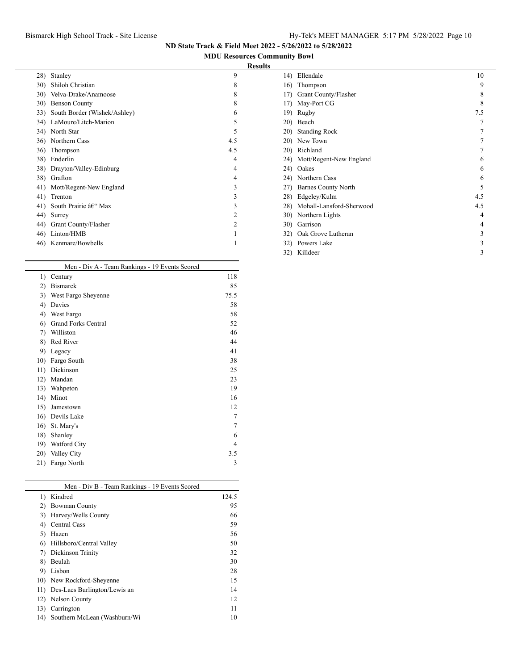## Bismarck High School Track - Site License Hy-Tek's MEET MANAGER 5:17 PM 5/28/2022 Page 10

**ND State Track & Field Meet 2022 - 5/26/2022 to 5/28/2022**

**MDU Resources Community Bowl**

## **Results**

| 28) | Stanley                      | 9              |  |
|-----|------------------------------|----------------|--|
| 30) | Shiloh Christian             | 8              |  |
| 30) | Velva-Drake/Anamoose         | 8              |  |
| 30) | <b>Benson County</b>         | 8              |  |
| 33) | South Border (Wishek/Ashley) | 6              |  |
| 34) | LaMoure/Litch-Marion         | 5              |  |
| 34) | North Star                   | 5              |  |
| 36) | Northern Cass                | 4.5            |  |
| 36) | Thompson                     | 4.5            |  |
| 38) | Enderlin                     | 4              |  |
| 38) | Drayton/Valley-Edinburg      | 4              |  |
| 38) | Grafton                      | 4              |  |
| 41) | Mott/Regent-New England      | 3              |  |
| 41) | Trenton                      | 3              |  |
| 41) | South Prairie – Max          | 3              |  |
| 44) | Surrey                       | 2              |  |
| 44) | Grant County/Flasher         | $\mathfrak{D}$ |  |
| 46) | Linton/HMB                   |                |  |
| 46) | Kenmare/Bowbells             | 1              |  |
|     |                              |                |  |

|     | Men - Div A - Team Rankings - 19 Events Scored |      |
|-----|------------------------------------------------|------|
| 1)  | Century                                        | 118  |
| 2)  | <b>Bismarck</b>                                | 85   |
| 3)  | West Fargo Sheyenne                            | 75.5 |
| 4)  | Davies                                         | 58   |
| 4)  | West Fargo                                     | 58   |
| 6)  | <b>Grand Forks Central</b>                     | 52   |
| 7)  | Williston                                      | 46   |
| 8)  | Red River                                      | 44   |
| 9)  | Legacy                                         | 41   |
| 10) | Fargo South                                    | 38   |
| 11) | Dickinson                                      | 25   |
| 12) | Mandan                                         | 23   |
| 13) | Wahpeton                                       | 19   |
| 14) | Minot                                          | 16   |
| 15) | Jamestown                                      | 12   |
| 16) | Devils Lake                                    | 7    |
| 16) | St. Mary's                                     | 7    |
| 18) | Shanley                                        | 6    |
| 19) | Watford City                                   | 4    |
| 20) | Valley City                                    | 3.5  |
| 21) | Fargo North                                    | 3    |
|     |                                                |      |

|     | Men - Div B - Team Rankings - 19 Events Scored |       |
|-----|------------------------------------------------|-------|
| 1)  | Kindred                                        | 124.5 |
| 2)  | Bowman County                                  | 95    |
| 3)  | Harvey/Wells County                            | 66    |
| 4)  | Central Cass                                   | 59    |
| 5)  | Hazen                                          | 56    |
| 6)  | Hillsboro/Central Valley                       | 50    |
| 7)  | Dickinson Trinity                              | 32    |
| 8)  | Beulah                                         | 30    |
| 9)  | Lisbon                                         | 28    |
|     | 10) New Rockford-Sheyenne                      | 15    |
| 11) | Des-Lacs Burlington/Lewis an                   |       |
|     | 12) Nelson County                              | 12    |
| 13) | Carrington                                     | 11    |
| 14) | Southern McLean (Washburn/Wi                   | 10    |

| 14)         | Ellendale                  | 10  |  |
|-------------|----------------------------|-----|--|
| 16)         | Thompson                   | 9   |  |
| 17)         | Grant County/Flasher       | 8   |  |
| 17)         | May-Port CG                | 8   |  |
| 19)         | Rugby                      | 7.5 |  |
| 20)         | Beach                      | 7   |  |
| 20)         | <b>Standing Rock</b>       | 7   |  |
| 20)         | New Town                   | 7   |  |
| 20)         | Richland                   | 7   |  |
| 24)         | Mott/Regent-New England    | 6   |  |
| 24)         | Oakes                      | 6   |  |
|             | 24) Northern Cass          | 6   |  |
| 27)         | <b>Barnes County North</b> | 5   |  |
| 28)         | Edgeley/Kulm               | 4.5 |  |
| 28)         | Mohall-Lansford-Sherwood   | 4.5 |  |
| 30)         | Northern Lights            | 4   |  |
| <b>30</b> ) | Garrison                   | 4   |  |
| 32)         | Oak Grove Lutheran         | 3   |  |
| 32)         | Powers Lake                | 3   |  |
| 32)         | Killdeer                   | 3   |  |
|             |                            |     |  |